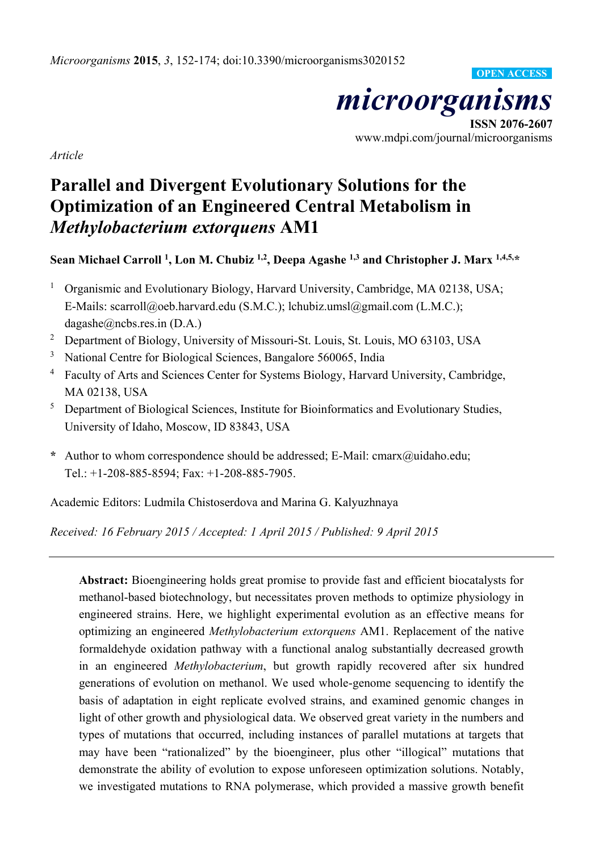*microorganisms* **ISSN 2076-2607 OPEN ACCESS**

www.mdpi.com/journal/microorganisms

*Article*

## **Parallel and Divergent Evolutionary Solutions for the Optimization of an Engineered Central Metabolism in**  *Methylobacterium extorquens* **AM1**

### **Sean Michael Carroll <sup>1</sup> , Lon M. Chubiz 1,2 , Deepa Agashe 1,3 and Christopher J. Marx 1,4,5,\***

- <sup>1</sup> Organismic and Evolutionary Biology, Harvard University, Cambridge, MA 02138, USA; E-Mails: scarroll@oeb.harvard.edu (S.M.C.); lchubiz.umsl@gmail.com (L.M.C.); dagashe@ncbs.res.in (D.A.)
- <sup>2</sup> Department of Biology, University of Missouri-St. Louis, St. Louis, MO 63103, USA
- <sup>3</sup> National Centre for Biological Sciences, Bangalore 560065, India
- <sup>4</sup> Faculty of Arts and Sciences Center for Systems Biology, Harvard University, Cambridge, MA 02138, USA
- <sup>5</sup> Department of Biological Sciences, Institute for Bioinformatics and Evolutionary Studies, University of Idaho, Moscow, ID 83843, USA
- **\*** Author to whom correspondence should be addressed; E-Mail: cmarx@uidaho.edu; Tel.: +1-208-885-8594; Fax: +1-208-885-7905.

Academic Editors: Ludmila Chistoserdova and Marina G. Kalyuzhnaya

*Received: 16 February 2015 / Accepted: 1 April 2015 / Published: 9 April 2015*

**Abstract:** Bioengineering holds great promise to provide fast and efficient biocatalysts for methanol-based biotechnology, but necessitates proven methods to optimize physiology in engineered strains. Here, we highlight experimental evolution as an effective means for optimizing an engineered *Methylobacterium extorquens* AM1. Replacement of the native formaldehyde oxidation pathway with a functional analog substantially decreased growth in an engineered *Methylobacterium*, but growth rapidly recovered after six hundred generations of evolution on methanol. We used whole-genome sequencing to identify the basis of adaptation in eight replicate evolved strains, and examined genomic changes in light of other growth and physiological data. We observed great variety in the numbers and types of mutations that occurred, including instances of parallel mutations at targets that may have been "rationalized" by the bioengineer, plus other "illogical" mutations that demonstrate the ability of evolution to expose unforeseen optimization solutions. Notably, we investigated mutations to RNA polymerase, which provided a massive growth benefit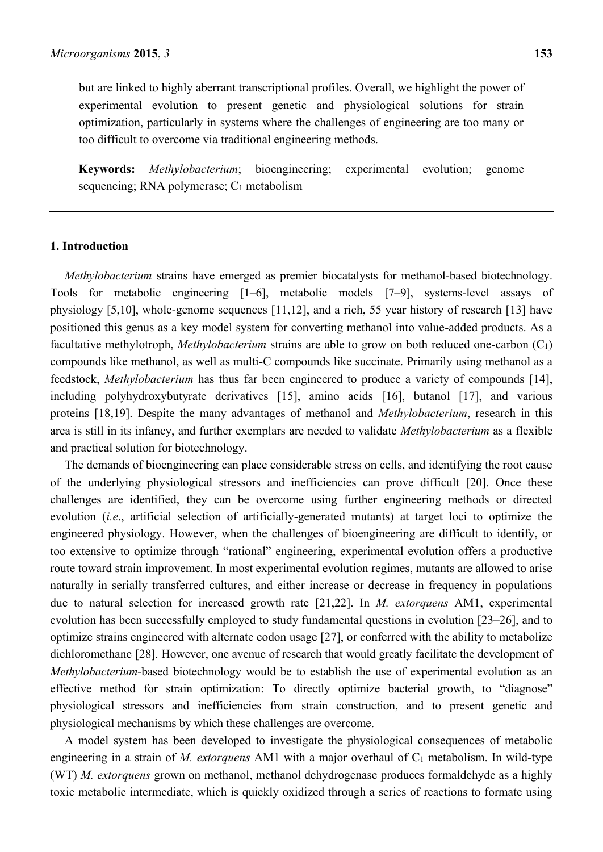but are linked to highly aberrant transcriptional profiles. Overall, we highlight the power of experimental evolution to present genetic and physiological solutions for strain optimization, particularly in systems where the challenges of engineering are too many or too difficult to overcome via traditional engineering methods.

**Keywords:** *Methylobacterium*; bioengineering; experimental evolution; genome sequencing; RNA polymerase; C<sub>1</sub> metabolism

#### **1. Introduction**

*Methylobacterium* strains have emerged as premier biocatalysts for methanol-based biotechnology. Tools for metabolic engineering [1–6], metabolic models [7–9], systems-level assays of physiology [5,10], whole-genome sequences [11,12], and a rich, 55 year history of research [13] have positioned this genus as a key model system for converting methanol into value-added products. As a facultative methylotroph, *Methylobacterium* strains are able to grow on both reduced one-carbon (C1) compounds like methanol, as well as multi-C compounds like succinate. Primarily using methanol as a feedstock, *Methylobacterium* has thus far been engineered to produce a variety of compounds [14], including polyhydroxybutyrate derivatives [15], amino acids [16], butanol [17], and various proteins [18,19]. Despite the many advantages of methanol and *Methylobacterium*, research in this area is still in its infancy, and further exemplars are needed to validate *Methylobacterium* as a flexible and practical solution for biotechnology.

The demands of bioengineering can place considerable stress on cells, and identifying the root cause of the underlying physiological stressors and inefficiencies can prove difficult [20]. Once these challenges are identified, they can be overcome using further engineering methods or directed evolution (*i.e*., artificial selection of artificially-generated mutants) at target loci to optimize the engineered physiology. However, when the challenges of bioengineering are difficult to identify, or too extensive to optimize through "rational" engineering, experimental evolution offers a productive route toward strain improvement. In most experimental evolution regimes, mutants are allowed to arise naturally in serially transferred cultures, and either increase or decrease in frequency in populations due to natural selection for increased growth rate [21,22]. In *M. extorquens* AM1, experimental evolution has been successfully employed to study fundamental questions in evolution [23–26], and to optimize strains engineered with alternate codon usage [27], or conferred with the ability to metabolize dichloromethane [28]. However, one avenue of research that would greatly facilitate the development of *Methylobacterium*-based biotechnology would be to establish the use of experimental evolution as an effective method for strain optimization: To directly optimize bacterial growth, to "diagnose" physiological stressors and inefficiencies from strain construction, and to present genetic and physiological mechanisms by which these challenges are overcome.

A model system has been developed to investigate the physiological consequences of metabolic engineering in a strain of *M. extorquens* AM1 with a major overhaul of C<sub>1</sub> metabolism. In wild-type (WT) *M. extorquens* grown on methanol, methanol dehydrogenase produces formaldehyde as a highly toxic metabolic intermediate, which is quickly oxidized through a series of reactions to formate using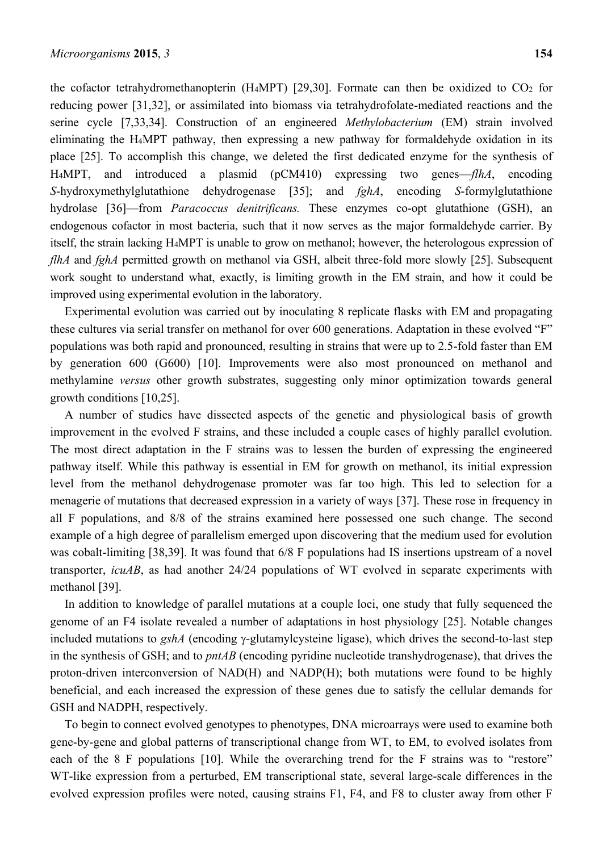the cofactor tetrahydromethanopterin (H<sub>4</sub>MPT) [29,30]. Formate can then be oxidized to  $CO<sub>2</sub>$  for reducing power [31,32], or assimilated into biomass via tetrahydrofolate-mediated reactions and the serine cycle [7,33,34]. Construction of an engineered *Methylobacterium* (EM) strain involved eliminating the H4MPT pathway, then expressing a new pathway for formaldehyde oxidation in its place [25]. To accomplish this change, we deleted the first dedicated enzyme for the synthesis of H4MPT, and introduced a plasmid (pCM410) expressing two genes—*flhA*, encoding *S*-hydroxymethylglutathione dehydrogenase [35]; and *fghA*, encoding *S*-formylglutathione hydrolase [36]—from *Paracoccus denitrificans.* These enzymes co-opt glutathione (GSH), an endogenous cofactor in most bacteria, such that it now serves as the major formaldehyde carrier. By itself, the strain lacking H4MPT is unable to grow on methanol; however, the heterologous expression of *flhA* and *fghA* permitted growth on methanol via GSH, albeit three-fold more slowly [25]. Subsequent work sought to understand what, exactly, is limiting growth in the EM strain, and how it could be improved using experimental evolution in the laboratory.

Experimental evolution was carried out by inoculating 8 replicate flasks with EM and propagating these cultures via serial transfer on methanol for over 600 generations. Adaptation in these evolved "F" populations was both rapid and pronounced, resulting in strains that were up to 2.5-fold faster than EM by generation 600 (G600) [10]. Improvements were also most pronounced on methanol and methylamine *versus* other growth substrates, suggesting only minor optimization towards general growth conditions [10,25].

A number of studies have dissected aspects of the genetic and physiological basis of growth improvement in the evolved F strains, and these included a couple cases of highly parallel evolution. The most direct adaptation in the F strains was to lessen the burden of expressing the engineered pathway itself. While this pathway is essential in EM for growth on methanol, its initial expression level from the methanol dehydrogenase promoter was far too high. This led to selection for a menagerie of mutations that decreased expression in a variety of ways [37]. These rose in frequency in all F populations, and 8/8 of the strains examined here possessed one such change. The second example of a high degree of parallelism emerged upon discovering that the medium used for evolution was cobalt-limiting [38,39]. It was found that 6/8 F populations had IS insertions upstream of a novel transporter, *icuAB*, as had another 24/24 populations of WT evolved in separate experiments with methanol [39].

In addition to knowledge of parallel mutations at a couple loci, one study that fully sequenced the genome of an F4 isolate revealed a number of adaptations in host physiology [25]. Notable changes included mutations to  $gshA$  (encoding  $\gamma$ -glutamylcysteine ligase), which drives the second-to-last step in the synthesis of GSH; and to *pntAB* (encoding pyridine nucleotide transhydrogenase), that drives the proton-driven interconversion of NAD(H) and NADP(H); both mutations were found to be highly beneficial, and each increased the expression of these genes due to satisfy the cellular demands for GSH and NADPH, respectively.

To begin to connect evolved genotypes to phenotypes, DNA microarrays were used to examine both gene-by-gene and global patterns of transcriptional change from WT, to EM, to evolved isolates from each of the 8 F populations [10]. While the overarching trend for the F strains was to "restore" WT-like expression from a perturbed, EM transcriptional state, several large-scale differences in the evolved expression profiles were noted, causing strains F1, F4, and F8 to cluster away from other F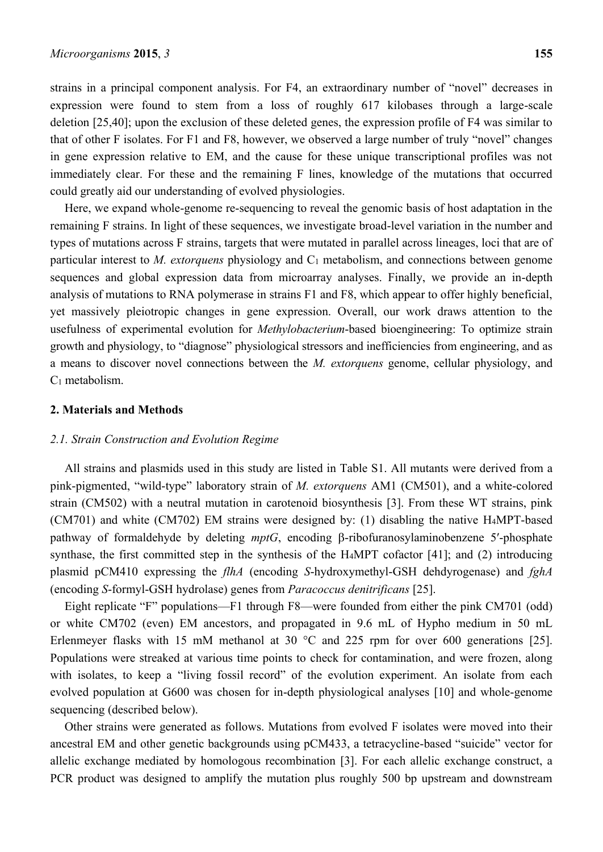strains in a principal component analysis. For F4, an extraordinary number of "novel" decreases in expression were found to stem from a loss of roughly 617 kilobases through a large-scale deletion [25,40]; upon the exclusion of these deleted genes, the expression profile of F4 was similar to that of other F isolates. For F1 and F8, however, we observed a large number of truly "novel" changes in gene expression relative to EM, and the cause for these unique transcriptional profiles was not immediately clear. For these and the remaining F lines, knowledge of the mutations that occurred could greatly aid our understanding of evolved physiologies.

Here, we expand whole-genome re-sequencing to reveal the genomic basis of host adaptation in the remaining F strains. In light of these sequences, we investigate broad-level variation in the number and types of mutations across F strains, targets that were mutated in parallel across lineages, loci that are of particular interest to *M. extorquens* physiology and C<sup>1</sup> metabolism, and connections between genome sequences and global expression data from microarray analyses. Finally, we provide an in-depth analysis of mutations to RNA polymerase in strains F1 and F8, which appear to offer highly beneficial, yet massively pleiotropic changes in gene expression. Overall, our work draws attention to the usefulness of experimental evolution for *Methylobacterium*-based bioengineering: To optimize strain growth and physiology, to "diagnose" physiological stressors and inefficiencies from engineering, and as a means to discover novel connections between the *M. extorquens* genome, cellular physiology, and C<sup>1</sup> metabolism.

#### **2. Materials and Methods**

#### *2.1. Strain Construction and Evolution Regime*

All strains and plasmids used in this study are listed in Table S1. All mutants were derived from a pink-pigmented, "wild-type" laboratory strain of *M. extorquens* AM1 (CM501), and a white-colored strain (CM502) with a neutral mutation in carotenoid biosynthesis [3]. From these WT strains, pink (CM701) and white (CM702) EM strains were designed by: (1) disabling the native H4MPT-based pathway of formaldehyde by deleting  $mptG$ , encoding  $\beta$ -ribofuranosylaminobenzene 5'-phosphate synthase, the first committed step in the synthesis of the H4MPT cofactor [41]; and (2) introducing plasmid pCM410 expressing the *flhA* (encoding *S*-hydroxymethyl-GSH dehdyrogenase) and *fghA* (encoding *S*-formyl-GSH hydrolase) genes from *Paracoccus denitrificans* [25].

Eight replicate "F" populations—F1 through F8—were founded from either the pink CM701 (odd) or white CM702 (even) EM ancestors, and propagated in 9.6 mL of Hypho medium in 50 mL Erlenmeyer flasks with 15 mM methanol at 30 °C and 225 rpm for over 600 generations [25]. Populations were streaked at various time points to check for contamination, and were frozen, along with isolates, to keep a "living fossil record" of the evolution experiment. An isolate from each evolved population at G600 was chosen for in-depth physiological analyses [10] and whole-genome sequencing (described below).

Other strains were generated as follows. Mutations from evolved F isolates were moved into their ancestral EM and other genetic backgrounds using pCM433, a tetracycline-based "suicide" vector for allelic exchange mediated by homologous recombination [3]. For each allelic exchange construct, a PCR product was designed to amplify the mutation plus roughly 500 bp upstream and downstream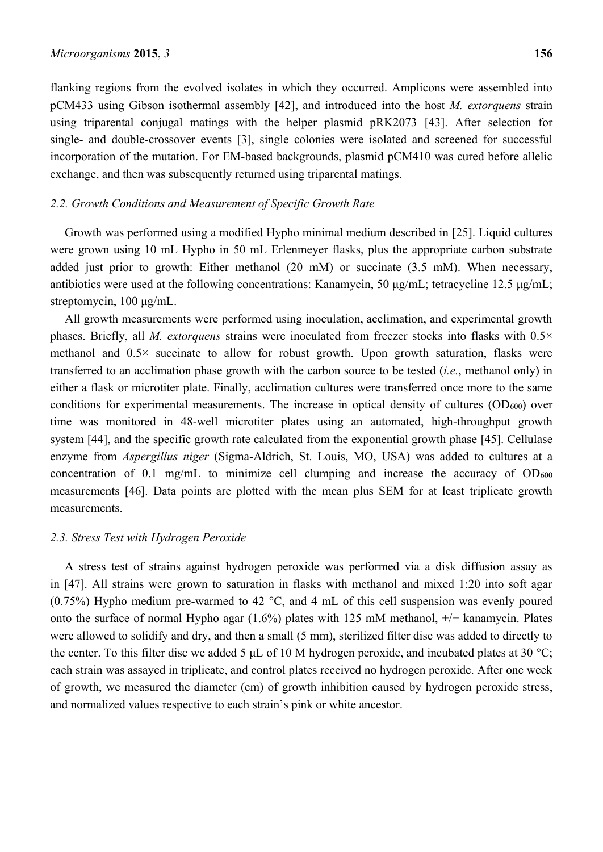flanking regions from the evolved isolates in which they occurred. Amplicons were assembled into pCM433 using Gibson isothermal assembly [42], and introduced into the host *M. extorquens* strain using triparental conjugal matings with the helper plasmid pRK2073 [43]. After selection for single- and double-crossover events [3], single colonies were isolated and screened for successful incorporation of the mutation. For EM-based backgrounds, plasmid pCM410 was cured before allelic exchange, and then was subsequently returned using triparental matings.

#### *2.2. Growth Conditions and Measurement of Specific Growth Rate*

Growth was performed using a modified Hypho minimal medium described in [25]. Liquid cultures were grown using 10 mL Hypho in 50 mL Erlenmeyer flasks, plus the appropriate carbon substrate added just prior to growth: Either methanol (20 mM) or succinate (3.5 mM). When necessary, antibiotics were used at the following concentrations: Kanamycin, 50 μg/mL; tetracycline 12.5 μg/mL; streptomycin, 100 μg/mL.

All growth measurements were performed using inoculation, acclimation, and experimental growth phases. Briefly, all *M. extorquens* strains were inoculated from freezer stocks into flasks with 0.5× methanol and 0.5× succinate to allow for robust growth. Upon growth saturation, flasks were transferred to an acclimation phase growth with the carbon source to be tested (*i.e.*, methanol only) in either a flask or microtiter plate. Finally, acclimation cultures were transferred once more to the same conditions for experimental measurements. The increase in optical density of cultures  $(OD_{600})$  over time was monitored in 48-well microtiter plates using an automated, high-throughput growth system [44], and the specific growth rate calculated from the exponential growth phase [45]. Cellulase enzyme from *Aspergillus niger* (Sigma-Aldrich, St. Louis, MO, USA) was added to cultures at a concentration of 0.1 mg/mL to minimize cell clumping and increase the accuracy of  $OD_{600}$ measurements [46]. Data points are plotted with the mean plus SEM for at least triplicate growth measurements.

#### *2.3. Stress Test with Hydrogen Peroxide*

A stress test of strains against hydrogen peroxide was performed via a disk diffusion assay as in [47]. All strains were grown to saturation in flasks with methanol and mixed 1:20 into soft agar (0.75%) Hypho medium pre-warmed to 42 °C, and 4 mL of this cell suspension was evenly poured onto the surface of normal Hypho agar (1.6%) plates with 125 mM methanol, +/− kanamycin. Plates were allowed to solidify and dry, and then a small (5 mm), sterilized filter disc was added to directly to the center. To this filter disc we added 5  $\mu$ L of 10 M hydrogen peroxide, and incubated plates at 30 °C; each strain was assayed in triplicate, and control plates received no hydrogen peroxide. After one week of growth, we measured the diameter (cm) of growth inhibition caused by hydrogen peroxide stress, and normalized values respective to each strain's pink or white ancestor.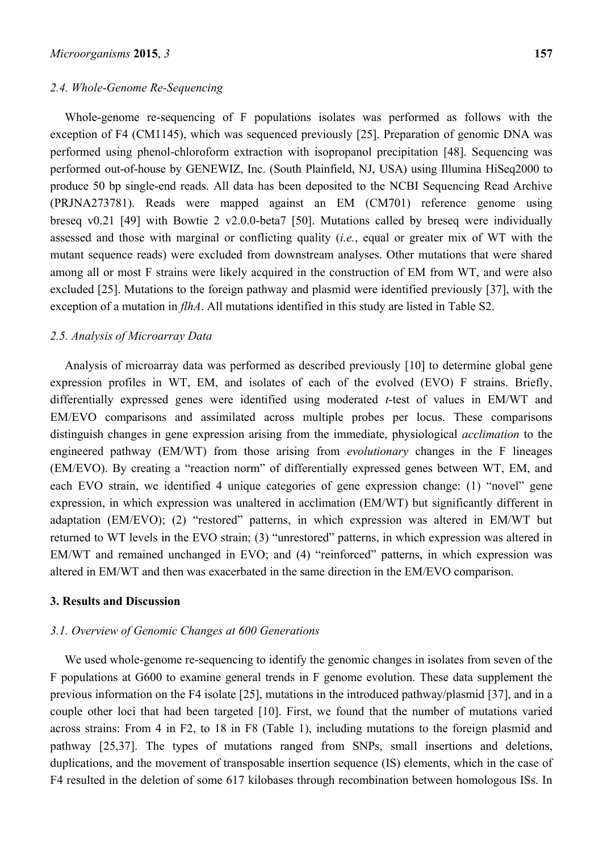#### *2.4. Whole-Genome Re-Sequencing*

Whole-genome re-sequencing of F populations isolates was performed as follows with the exception of F4 (CM1145), which was sequenced previously [25]. Preparation of genomic DNA was performed using phenol-chloroform extraction with isopropanol precipitation [48]. Sequencing was performed out-of-house by GENEWIZ, Inc. (South Plainfield, NJ, USA) using Illumina HiSeq2000 to produce 50 bp single-end reads. All data has been deposited to the NCBI Sequencing Read Archive (PRJNA273781). Reads were mapped against an EM (CM701) reference genome using breseq v0.21 [49] with Bowtie 2 v2.0.0-beta7 [50]. Mutations called by breseq were individually assessed and those with marginal or conflicting quality (*i.e.*, equal or greater mix of WT with the mutant sequence reads) were excluded from downstream analyses. Other mutations that were shared among all or most F strains were likely acquired in the construction of EM from WT, and were also excluded [25]. Mutations to the foreign pathway and plasmid were identified previously [37], with the exception of a mutation in *flhA*. All mutations identified in this study are listed in Table S2.

#### *2.5. Analysis of Microarray Data*

Analysis of microarray data was performed as described previously [10] to determine global gene expression profiles in WT, EM, and isolates of each of the evolved (EVO) F strains. Briefly, differentially expressed genes were identified using moderated *t*-test of values in EM/WT and EM/EVO comparisons and assimilated across multiple probes per locus. These comparisons distinguish changes in gene expression arising from the immediate, physiological *acclimation* to the engineered pathway (EM/WT) from those arising from *evolutionary* changes in the F lineages (EM/EVO). By creating a "reaction norm" of differentially expressed genes between WT, EM, and each EVO strain, we identified 4 unique categories of gene expression change: (1) "novel" gene expression, in which expression was unaltered in acclimation (EM/WT) but significantly different in adaptation (EM/EVO); (2) "restored" patterns, in which expression was altered in EM/WT but returned to WT levels in the EVO strain; (3) "unrestored" patterns, in which expression was altered in EM/WT and remained unchanged in EVO; and (4) "reinforced" patterns, in which expression was altered in EM/WT and then was exacerbated in the same direction in the EM/EVO comparison.

#### **3. Results and Discussion**

#### *3.1. Overview of Genomic Changes at 600 Generations*

We used whole-genome re-sequencing to identify the genomic changes in isolates from seven of the F populations at G600 to examine general trends in F genome evolution. These data supplement the previous information on the F4 isolate [25], mutations in the introduced pathway/plasmid [37], and in a couple other loci that had been targeted [10]. First, we found that the number of mutations varied across strains: From 4 in F2, to 18 in F8 (Table 1), including mutations to the foreign plasmid and pathway [25,37]. The types of mutations ranged from SNPs, small insertions and deletions, duplications, and the movement of transposable insertion sequence (IS) elements, which in the case of F4 resulted in the deletion of some 617 kilobases through recombination between homologous ISs. In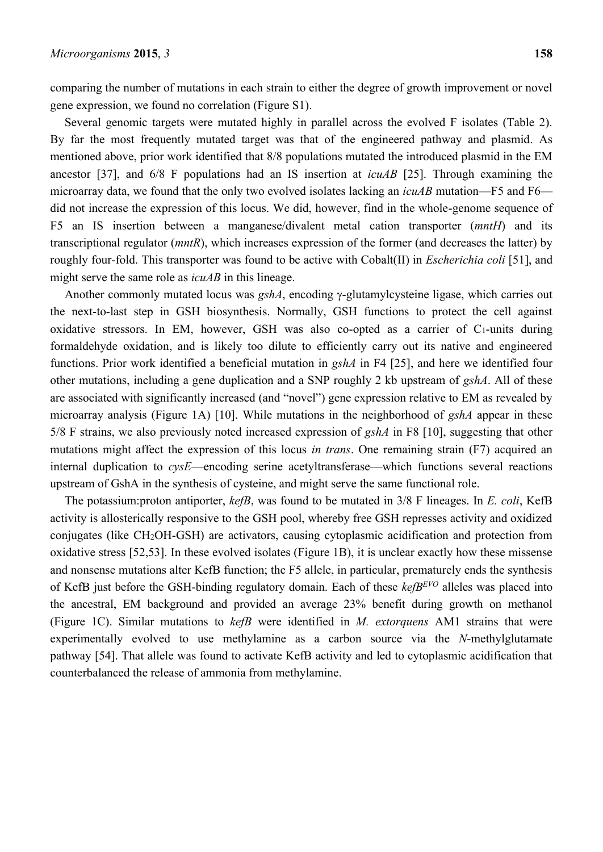comparing the number of mutations in each strain to either the degree of growth improvement or novel gene expression, we found no correlation (Figure S1).

Several genomic targets were mutated highly in parallel across the evolved F isolates (Table 2). By far the most frequently mutated target was that of the engineered pathway and plasmid. As mentioned above, prior work identified that 8/8 populations mutated the introduced plasmid in the EM ancestor [37], and 6/8 F populations had an IS insertion at *icuAB* [25]. Through examining the microarray data, we found that the only two evolved isolates lacking an *icuAB* mutation—F5 and F6 did not increase the expression of this locus. We did, however, find in the whole-genome sequence of F5 an IS insertion between a manganese/divalent metal cation transporter (*mntH*) and its transcriptional regulator (*mntR*), which increases expression of the former (and decreases the latter) by roughly four-fold. This transporter was found to be active with Cobalt(II) in *Escherichia coli* [51], and might serve the same role as *icuAB* in this lineage.

Another commonly mutated locus was *gshA*, encoding y-glutamylcysteine ligase, which carries out the next-to-last step in GSH biosynthesis. Normally, GSH functions to protect the cell against oxidative stressors. In EM, however, GSH was also co-opted as a carrier of  $C_1$ -units during formaldehyde oxidation, and is likely too dilute to efficiently carry out its native and engineered functions. Prior work identified a beneficial mutation in *gshA* in F4 [25], and here we identified four other mutations, including a gene duplication and a SNP roughly 2 kb upstream of *gshA*. All of these are associated with significantly increased (and "novel") gene expression relative to EM as revealed by microarray analysis (Figure 1A) [10]. While mutations in the neighborhood of *gshA* appear in these 5/8 F strains, we also previously noted increased expression of *gshA* in F8 [10], suggesting that other mutations might affect the expression of this locus *in trans*. One remaining strain (F7) acquired an internal duplication to *cysE*—encoding serine acetyltransferase—which functions several reactions upstream of GshA in the synthesis of cysteine, and might serve the same functional role.

The potassium:proton antiporter, *kefB*, was found to be mutated in 3/8 F lineages. In *E. coli*, KefB activity is allosterically responsive to the GSH pool, whereby free GSH represses activity and oxidized conjugates (like CH2OH-GSH) are activators, causing cytoplasmic acidification and protection from oxidative stress [52,53]. In these evolved isolates (Figure 1B), it is unclear exactly how these missense and nonsense mutations alter KefB function; the F5 allele, in particular, prematurely ends the synthesis of KefB just before the GSH-binding regulatory domain. Each of these *kefBEVO* alleles was placed into the ancestral, EM background and provided an average 23% benefit during growth on methanol (Figure 1C). Similar mutations to *kefB* were identified in *M. extorquens* AM1 strains that were experimentally evolved to use methylamine as a carbon source via the *N*-methylglutamate pathway [54]. That allele was found to activate KefB activity and led to cytoplasmic acidification that counterbalanced the release of ammonia from methylamine.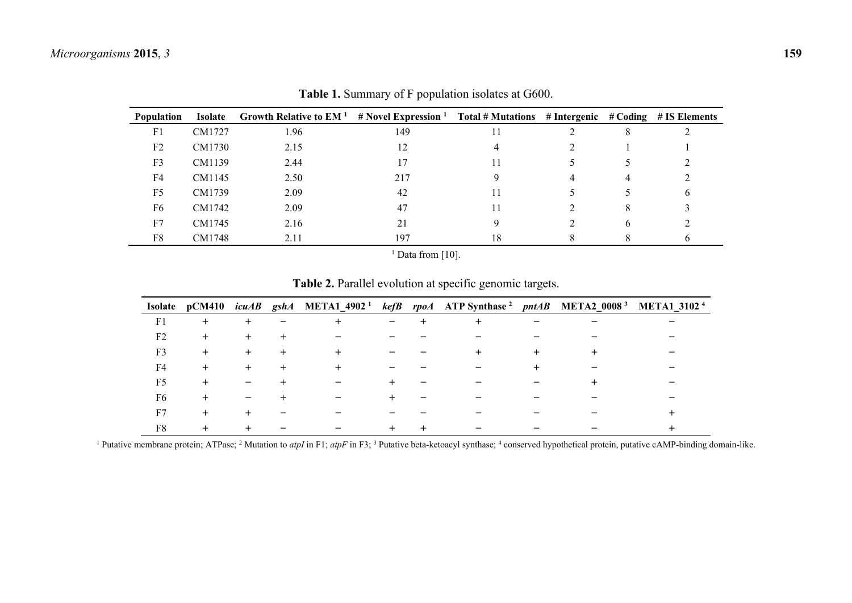| <b>Population</b> | <b>Isolate</b> | <b>Growth Relative to EM</b> <sup>1</sup> | # Novel Expression $1$ | Total # Mutations # Intergenic |   | $# Coding$ # IS Elements |
|-------------------|----------------|-------------------------------------------|------------------------|--------------------------------|---|--------------------------|
| F1                | CM1727         | 1.96                                      | 149                    | 11                             | ⋀ |                          |
| F <sub>2</sub>    | CM1730         | 2.15                                      | 12                     |                                |   |                          |
| F3                | CM1139         | 2.44                                      | 17                     | 11                             |   |                          |
| F4                | CM1145         | 2.50                                      | 217                    | 9                              | 4 |                          |
| F5                | CM1739         | 2.09                                      | 42                     | 11                             |   | 6                        |
| F6                | CM1742         | 2.09                                      | 47                     | 11                             | 8 |                          |
| F7                | CM1745         | 2.16                                      | 21                     |                                | b |                          |
| F8                | CM1748         | 2.11                                      | 197                    | 18                             |   | <sub>n</sub>             |

**Table 1.** Summary of F population isolates at G600.

 $1$  Data from [10].

|                |        |      |        |  |  | Isolate pCM410 icuAB gshA META1_4902 <sup>1</sup> kefB rpoA ATP Synthase <sup>2</sup> pntAB META2_0008 <sup>3</sup> META1_3102 <sup>4</sup> |  |
|----------------|--------|------|--------|--|--|---------------------------------------------------------------------------------------------------------------------------------------------|--|
| F <sub>1</sub> | $\pm$  |      |        |  |  |                                                                                                                                             |  |
| F <sub>2</sub> | $\pm$  |      |        |  |  |                                                                                                                                             |  |
| F3             | $^{+}$ | $^+$ | $\div$ |  |  |                                                                                                                                             |  |
| F4             | $^{+}$ | $^+$ |        |  |  |                                                                                                                                             |  |
| F5             | $\div$ |      |        |  |  |                                                                                                                                             |  |
| F6             |        |      |        |  |  |                                                                                                                                             |  |
| F7             | $\pm$  |      |        |  |  |                                                                                                                                             |  |
| F8             | +      |      |        |  |  |                                                                                                                                             |  |

**Table 2.** Parallel evolution at specific genomic targets.

<sup>1</sup> Putative membrane protein; ATPase; <sup>2</sup> Mutation to *atpI* in F1; *atpF* in F3; <sup>3</sup> Putative beta-ketoacyl synthase; <sup>4</sup> conserved hypothetical protein, putative cAMP-binding domain-like.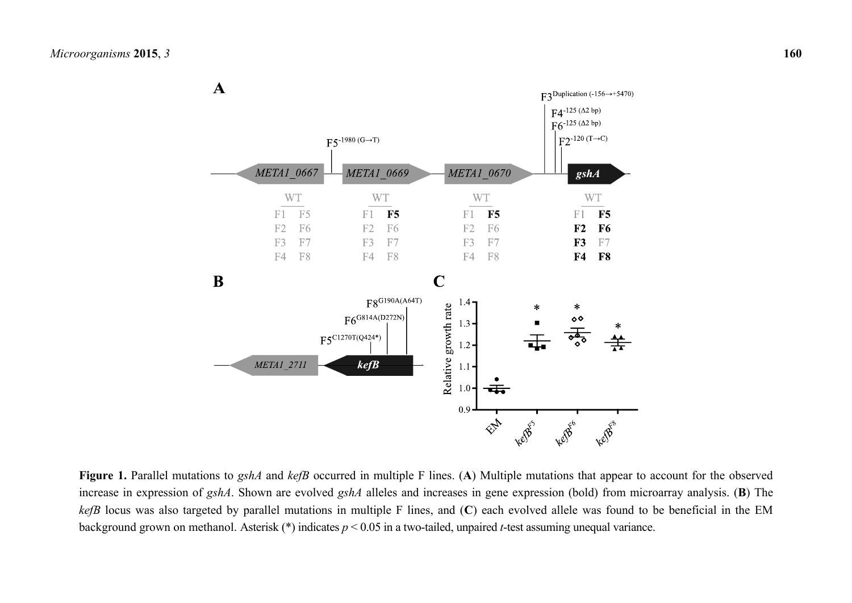

**Figure 1.** Parallel mutations to *gshA* and *kefB* occurred in multiple F lines. (**A**) Multiple mutations that appear to account for the observed increase in expression of *gshA*. Shown are evolved *gshA* alleles and increases in gene expression (bold) from microarray analysis. (**B**) The *kefB* locus was also targeted by parallel mutations in multiple F lines, and (**C**) each evolved allele was found to be beneficial in the EM background grown on methanol. Asterisk (\*) indicates *p* < 0.05 in a two-tailed, unpaired *t*-test assuming unequal variance.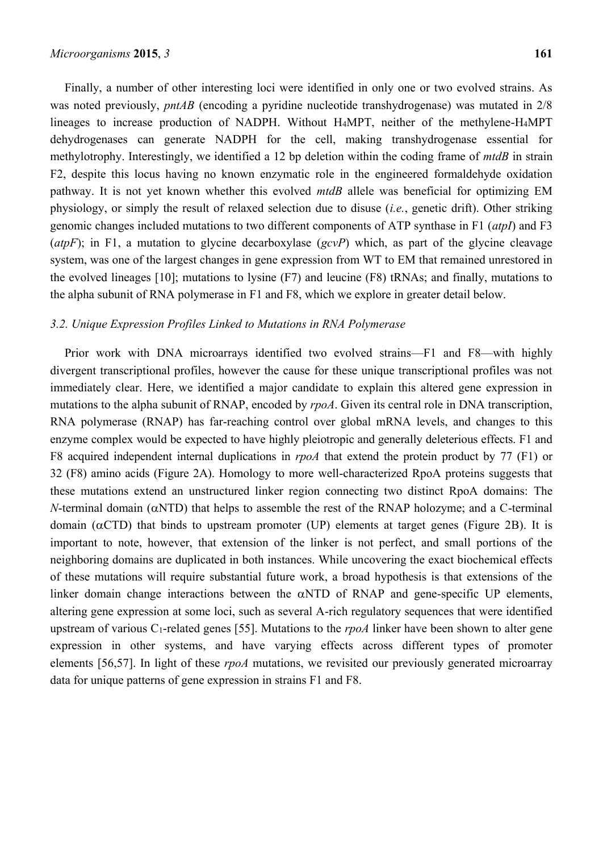Finally, a number of other interesting loci were identified in only one or two evolved strains. As was noted previously, *pntAB* (encoding a pyridine nucleotide transhydrogenase) was mutated in 2/8 lineages to increase production of NADPH. Without H4MPT, neither of the methylene-H4MPT dehydrogenases can generate NADPH for the cell, making transhydrogenase essential for methylotrophy. Interestingly, we identified a 12 bp deletion within the coding frame of *mtdB* in strain F2, despite this locus having no known enzymatic role in the engineered formaldehyde oxidation pathway. It is not yet known whether this evolved *mtdB* allele was beneficial for optimizing EM physiology, or simply the result of relaxed selection due to disuse (*i.e.*, genetic drift). Other striking genomic changes included mutations to two different components of ATP synthase in F1 (*atpI*) and F3 (*atpF*); in F1, a mutation to glycine decarboxylase (*gcvP*) which, as part of the glycine cleavage system, was one of the largest changes in gene expression from WT to EM that remained unrestored in the evolved lineages [10]; mutations to lysine (F7) and leucine (F8) tRNAs; and finally, mutations to the alpha subunit of RNA polymerase in F1 and F8, which we explore in greater detail below.

#### *3.2. Unique Expression Profiles Linked to Mutations in RNA Polymerase*

Prior work with DNA microarrays identified two evolved strains—F1 and F8—with highly divergent transcriptional profiles, however the cause for these unique transcriptional profiles was not immediately clear. Here, we identified a major candidate to explain this altered gene expression in mutations to the alpha subunit of RNAP, encoded by *rpoA*. Given its central role in DNA transcription, RNA polymerase (RNAP) has far-reaching control over global mRNA levels, and changes to this enzyme complex would be expected to have highly pleiotropic and generally deleterious effects. F1 and F8 acquired independent internal duplications in *rpoA* that extend the protein product by 77 (F1) or 32 (F8) amino acids (Figure 2A). Homology to more well-characterized RpoA proteins suggests that these mutations extend an unstructured linker region connecting two distinct RpoA domains: The *N*-terminal domain ( $\alpha$ NTD) that helps to assemble the rest of the RNAP holozyme; and a C-terminal domain ( $\alpha$ CTD) that binds to upstream promoter (UP) elements at target genes (Figure 2B). It is important to note, however, that extension of the linker is not perfect, and small portions of the neighboring domains are duplicated in both instances. While uncovering the exact biochemical effects of these mutations will require substantial future work, a broad hypothesis is that extensions of the linker domain change interactions between the  $\alpha$ NTD of RNAP and gene-specific UP elements, altering gene expression at some loci, such as several A-rich regulatory sequences that were identified upstream of various C1-related genes [55]. Mutations to the *rpoA* linker have been shown to alter gene expression in other systems, and have varying effects across different types of promoter elements [56,57]. In light of these *rpoA* mutations, we revisited our previously generated microarray data for unique patterns of gene expression in strains F1 and F8.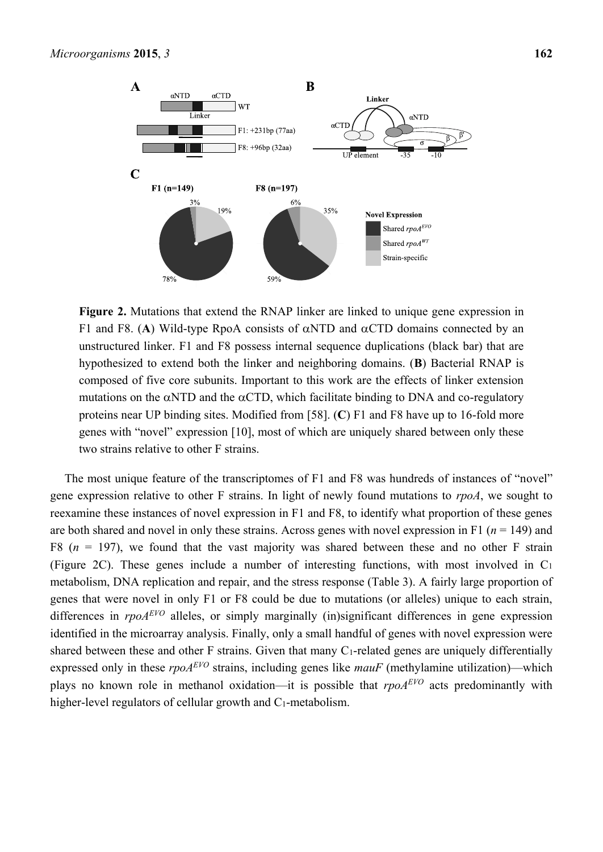

**Figure 2.** Mutations that extend the RNAP linker are linked to unique gene expression in F1 and F8. (A) Wild-type RpoA consists of  $\alpha$ NTD and  $\alpha$ CTD domains connected by an unstructured linker. F1 and F8 possess internal sequence duplications (black bar) that are hypothesized to extend both the linker and neighboring domains. (**B**) Bacterial RNAP is composed of five core subunits. Important to this work are the effects of linker extension mutations on the  $\alpha$ NTD and the  $\alpha$ CTD, which facilitate binding to DNA and co-regulatory proteins near UP binding sites. Modified from [58]. (**C**) F1 and F8 have up to 16-fold more genes with "novel" expression [10], most of which are uniquely shared between only these two strains relative to other F strains.

The most unique feature of the transcriptomes of F1 and F8 was hundreds of instances of "novel" gene expression relative to other F strains. In light of newly found mutations to *rpoA*, we sought to reexamine these instances of novel expression in F1 and F8, to identify what proportion of these genes are both shared and novel in only these strains. Across genes with novel expression in F1 ( $n = 149$ ) and F8 ( $n = 197$ ), we found that the vast majority was shared between these and no other F strain (Figure 2C). These genes include a number of interesting functions, with most involved in C<sup>1</sup> metabolism, DNA replication and repair, and the stress response (Table 3). A fairly large proportion of genes that were novel in only F1 or F8 could be due to mutations (or alleles) unique to each strain, differences in *rpoAEVO* alleles, or simply marginally (in)significant differences in gene expression identified in the microarray analysis. Finally, only a small handful of genes with novel expression were shared between these and other F strains. Given that many C1-related genes are uniquely differentially expressed only in these *rpoAEVO* strains, including genes like *mauF* (methylamine utilization)—which plays no known role in methanol oxidation—it is possible that *rpoAEVO* acts predominantly with higher-level regulators of cellular growth and C<sub>1</sub>-metabolism.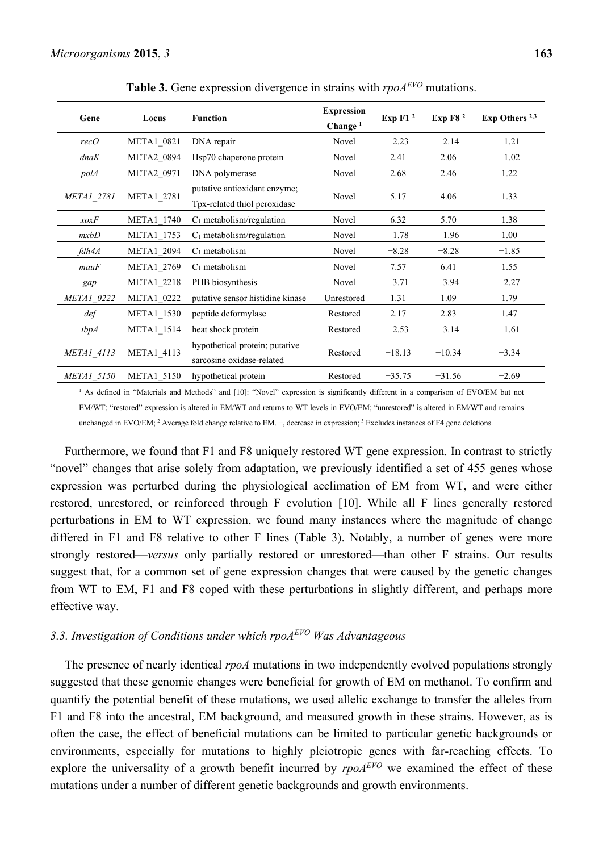| Gene              | Locus             | <b>Function</b>                                              | <b>Expression</b><br>Change <sup>1</sup> | Exp $F12$ | Exp $F82$ | Exp Others $2,3$ |
|-------------------|-------------------|--------------------------------------------------------------|------------------------------------------|-----------|-----------|------------------|
| recO              | <b>META1 0821</b> | DNA repair                                                   | Novel                                    | $-2.23$   | $-2.14$   | $-1.21$          |
| dnaK              | <b>META2 0894</b> | Hsp70 chaperone protein                                      | Novel                                    | 2.41      | 2.06      | $-1.02$          |
| polA              | META2_0971        | DNA polymerase                                               | Novel                                    | 2.68      | 2.46      | 1.22             |
| META1_2781        | META1_2781        | putative antioxidant enzyme;<br>Tpx-related thiol peroxidase | Novel                                    | 5.17      | 4.06      | 1.33             |
| $x \circ x F$     | <b>META1 1740</b> | $C_1$ metabolism/regulation                                  | Novel                                    | 6.32      | 5.70      | 1.38             |
| mxbD              | <b>META1 1753</b> | $C_1$ metabolism/regulation                                  | Novel                                    | $-1.78$   | $-1.96$   | 1.00             |
| fdh4A             | <b>META1_2094</b> | $C_1$ metabolism                                             | Novel                                    | $-8.28$   | $-8.28$   | $-1.85$          |
| mauF              | META1_2769        | $C_1$ metabolism                                             | Novel                                    | 7.57      | 6.41      | 1.55             |
| gap               | <b>META1 2218</b> | PHB biosynthesis                                             | Novel                                    | $-3.71$   | $-3.94$   | $-2.27$          |
| <b>META1 0222</b> | META1_0222        | putative sensor histidine kinase                             | Unrestored                               | 1.31      | 1.09      | 1.79             |
| def               | <b>META1 1530</b> | peptide deformylase                                          | Restored                                 | 2.17      | 2.83      | 1.47             |
| ibpA              | <b>META1 1514</b> | heat shock protein                                           | Restored                                 | $-2.53$   | $-3.14$   | $-1.61$          |
| META1 4113        | META1_4113        | hypothetical protein; putative<br>sarcosine oxidase-related  | Restored                                 | $-18.13$  | $-10.34$  | $-3.34$          |
| <b>META1 5150</b> | <b>META1 5150</b> | hypothetical protein                                         | Restored                                 | $-35.75$  | $-31.56$  | $-2.69$          |

**Table 3.** Gene expression divergence in strains with *rpoAEVO* mutations.

<sup>1</sup> As defined in "Materials and Methods" and [10]: "Novel" expression is significantly different in a comparison of EVO/EM but not EM/WT; "restored" expression is altered in EM/WT and returns to WT levels in EVO/EM; "unrestored" is altered in EM/WT and remains unchanged in EVO/EM; <sup>2</sup> Average fold change relative to EM. −, decrease in expression; <sup>3</sup> Excludes instances of F4 gene deletions.

Furthermore, we found that F1 and F8 uniquely restored WT gene expression. In contrast to strictly "novel" changes that arise solely from adaptation, we previously identified a set of 455 genes whose expression was perturbed during the physiological acclimation of EM from WT, and were either restored, unrestored, or reinforced through F evolution [10]. While all F lines generally restored perturbations in EM to WT expression, we found many instances where the magnitude of change differed in F1 and F8 relative to other F lines (Table 3). Notably, a number of genes were more strongly restored—*versus* only partially restored or unrestored—than other F strains. Our results suggest that, for a common set of gene expression changes that were caused by the genetic changes from WT to EM, F1 and F8 coped with these perturbations in slightly different, and perhaps more effective way.

#### *3.3. Investigation of Conditions under which rpoAEVO Was Advantageous*

The presence of nearly identical *rpoA* mutations in two independently evolved populations strongly suggested that these genomic changes were beneficial for growth of EM on methanol. To confirm and quantify the potential benefit of these mutations, we used allelic exchange to transfer the alleles from F1 and F8 into the ancestral, EM background, and measured growth in these strains. However, as is often the case, the effect of beneficial mutations can be limited to particular genetic backgrounds or environments, especially for mutations to highly pleiotropic genes with far-reaching effects. To explore the universality of a growth benefit incurred by  $\eta \rho A^{EVO}$  we examined the effect of these mutations under a number of different genetic backgrounds and growth environments.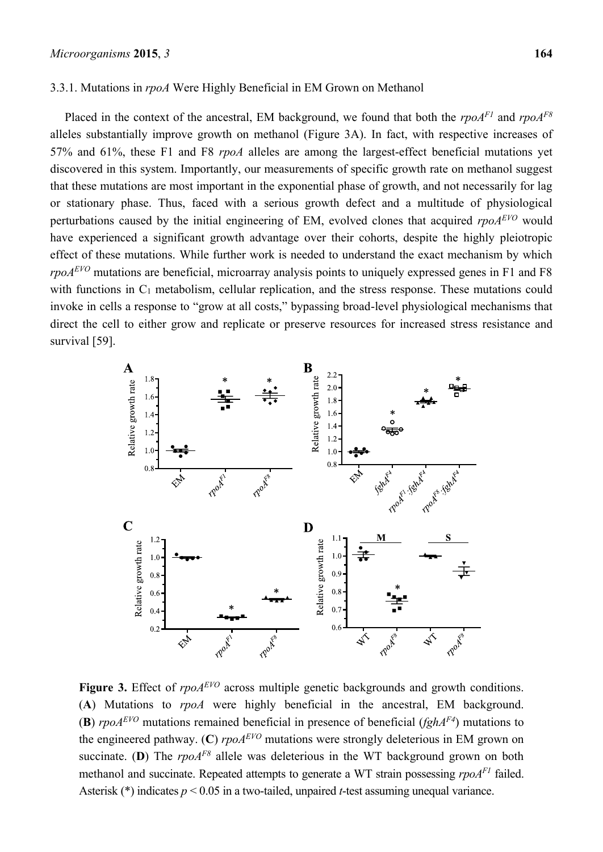#### 3.3.1. Mutations in *rpoA* Were Highly Beneficial in EM Grown on Methanol

Placed in the context of the ancestral, EM background, we found that both the *rpoAF1* and *rpoAF8* alleles substantially improve growth on methanol (Figure 3A). In fact, with respective increases of 57% and 61%, these F1 and F8 *rpoA* alleles are among the largest-effect beneficial mutations yet discovered in this system. Importantly, our measurements of specific growth rate on methanol suggest that these mutations are most important in the exponential phase of growth, and not necessarily for lag or stationary phase. Thus, faced with a serious growth defect and a multitude of physiological perturbations caused by the initial engineering of EM, evolved clones that acquired *rpoAEVO* would have experienced a significant growth advantage over their cohorts, despite the highly pleiotropic effect of these mutations. While further work is needed to understand the exact mechanism by which *rpoAEVO* mutations are beneficial, microarray analysis points to uniquely expressed genes in F1 and F8 with functions in C<sub>1</sub> metabolism, cellular replication, and the stress response. These mutations could invoke in cells a response to "grow at all costs," bypassing broad-level physiological mechanisms that direct the cell to either grow and replicate or preserve resources for increased stress resistance and survival [59].



**Figure 3.** Effect of *rpoAEVO* across multiple genetic backgrounds and growth conditions. (**A**) Mutations to *rpoA* were highly beneficial in the ancestral, EM background. (**B**) *rpoA<sup>EVO</sup>* mutations remained beneficial in presence of beneficial (*fghA<sup>F4*</sup>)</sub> mutations to the engineered pathway. (**C**) *rpoAEVO* mutations were strongly deleterious in EM grown on succinate. (**D**) The *rpoA*<sup>*F8*</sup> allele was deleterious in the WT background grown on both methanol and succinate. Repeated attempts to generate a WT strain possessing *rpoA<sup>F1</sup>* failed. Asterisk (\*) indicates *p* < 0.05 in a two-tailed, unpaired *t*-test assuming unequal variance.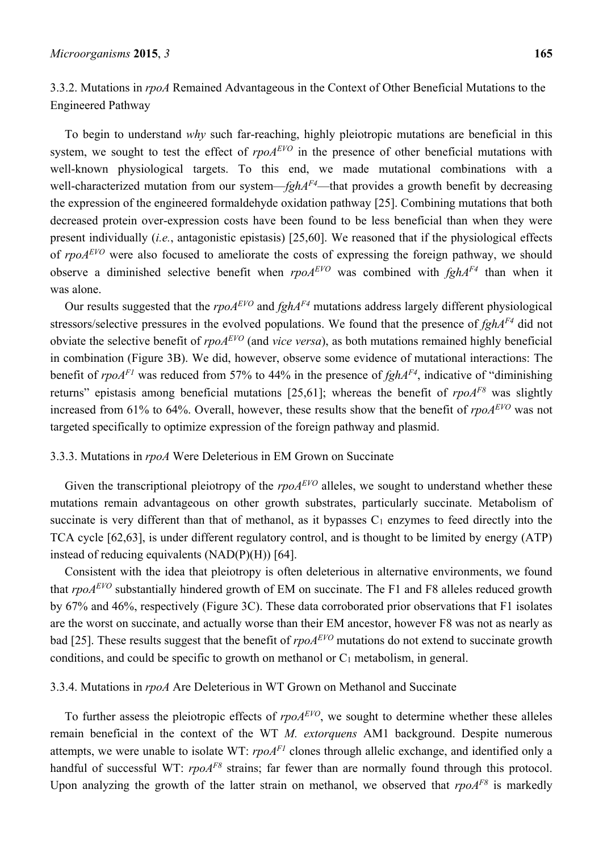3.3.2. Mutations in *rpoA* Remained Advantageous in the Context of Other Beneficial Mutations to the Engineered Pathway

To begin to understand *why* such far-reaching, highly pleiotropic mutations are beneficial in this system, we sought to test the effect of *rpoAEVO* in the presence of other beneficial mutations with well-known physiological targets. To this end, we made mutational combinations with a well-characterized mutation from our system—*fghA<sup>F4</sup>*—that provides a growth benefit by decreasing the expression of the engineered formaldehyde oxidation pathway [25]. Combining mutations that both decreased protein over-expression costs have been found to be less beneficial than when they were present individually (*i.e.*, antagonistic epistasis) [25,60]. We reasoned that if the physiological effects of *rpoAEVO* were also focused to ameliorate the costs of expressing the foreign pathway, we should observe a diminished selective benefit when *rpoAEVO* was combined with *fghAF4* than when it was alone.

Our results suggested that the *rpoAEVO* and *fghAF4* mutations address largely different physiological stressors/selective pressures in the evolved populations. We found that the presence of *fghAF4* did not obviate the selective benefit of *rpoAEVO* (and *vice versa*), as both mutations remained highly beneficial in combination (Figure 3B). We did, however, observe some evidence of mutational interactions: The benefit of *rpoAF1* was reduced from 57% to 44% in the presence of *fghAF4* , indicative of "diminishing returns" epistasis among beneficial mutations [25,61]; whereas the benefit of *rpoAF8* was slightly increased from 61% to 64%. Overall, however, these results show that the benefit of *rpoAEVO* was not targeted specifically to optimize expression of the foreign pathway and plasmid.

#### 3.3.3. Mutations in *rpoA* Were Deleterious in EM Grown on Succinate

Given the transcriptional pleiotropy of the *rpoA<sup>EVO</sup>* alleles, we sought to understand whether these mutations remain advantageous on other growth substrates, particularly succinate. Metabolism of succinate is very different than that of methanol, as it bypasses  $C_1$  enzymes to feed directly into the TCA cycle [62,63], is under different regulatory control, and is thought to be limited by energy (ATP) instead of reducing equivalents (NAD(P)(H)) [64].

Consistent with the idea that pleiotropy is often deleterious in alternative environments, we found that *rpoAEVO* substantially hindered growth of EM on succinate. The F1 and F8 alleles reduced growth by 67% and 46%, respectively (Figure 3C). These data corroborated prior observations that F1 isolates are the worst on succinate, and actually worse than their EM ancestor, however F8 was not as nearly as bad [25]. These results suggest that the benefit of *rpoAEVO* mutations do not extend to succinate growth conditions, and could be specific to growth on methanol or  $C_1$  metabolism, in general.

#### 3.3.4. Mutations in *rpoA* Are Deleterious in WT Grown on Methanol and Succinate

To further assess the pleiotropic effects of *rpoAEVO*, we sought to determine whether these alleles remain beneficial in the context of the WT *M. extorquens* AM1 background. Despite numerous attempts, we were unable to isolate WT: *rpoAF1* clones through allelic exchange, and identified only a handful of successful WT: *rpoAF8* strains; far fewer than are normally found through this protocol. Upon analyzing the growth of the latter strain on methanol, we observed that *rpoAF8* is markedly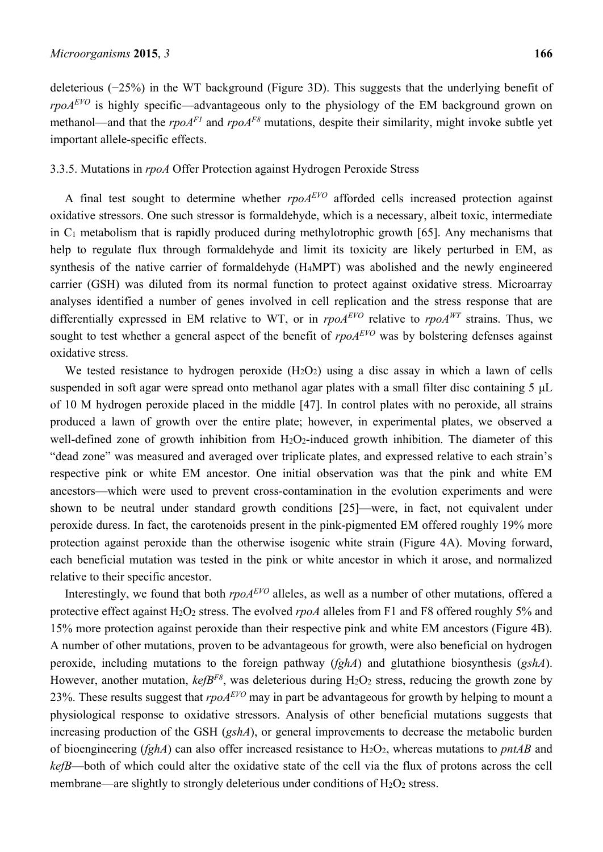deleterious (−25%) in the WT background (Figure 3D). This suggests that the underlying benefit of *rpoAEVO* is highly specific—advantageous only to the physiology of the EM background grown on methanol—and that the *rpoAF1* and *rpoAF8* mutations, despite their similarity, might invoke subtle yet important allele-specific effects.

#### 3.3.5. Mutations in *rpoA* Offer Protection against Hydrogen Peroxide Stress

A final test sought to determine whether *rpoAEVO* afforded cells increased protection against oxidative stressors. One such stressor is formaldehyde, which is a necessary, albeit toxic, intermediate in C<sup>1</sup> metabolism that is rapidly produced during methylotrophic growth [65]. Any mechanisms that help to regulate flux through formaldehyde and limit its toxicity are likely perturbed in EM, as synthesis of the native carrier of formaldehyde (H4MPT) was abolished and the newly engineered carrier (GSH) was diluted from its normal function to protect against oxidative stress. Microarray analyses identified a number of genes involved in cell replication and the stress response that are differentially expressed in EM relative to WT, or in  $\text{rpoA}^{\text{EVO}}$  relative to  $\text{rpoA}^{\text{WT}}$  strains. Thus, we sought to test whether a general aspect of the benefit of *rpoAEVO* was by bolstering defenses against oxidative stress.

We tested resistance to hydrogen peroxide  $(H_2O_2)$  using a disc assay in which a lawn of cells suspended in soft agar were spread onto methanol agar plates with a small filter disc containing 5 μL of 10 M hydrogen peroxide placed in the middle [47]. In control plates with no peroxide, all strains produced a lawn of growth over the entire plate; however, in experimental plates, we observed a well-defined zone of growth inhibition from  $H_2O_2$ -induced growth inhibition. The diameter of this "dead zone" was measured and averaged over triplicate plates, and expressed relative to each strain's respective pink or white EM ancestor. One initial observation was that the pink and white EM ancestors—which were used to prevent cross-contamination in the evolution experiments and were shown to be neutral under standard growth conditions [25]—were, in fact, not equivalent under peroxide duress. In fact, the carotenoids present in the pink-pigmented EM offered roughly 19% more protection against peroxide than the otherwise isogenic white strain (Figure 4A). Moving forward, each beneficial mutation was tested in the pink or white ancestor in which it arose, and normalized relative to their specific ancestor.

Interestingly, we found that both *rpoAEVO* alleles, as well as a number of other mutations, offered a protective effect against H2O<sup>2</sup> stress. The evolved *rpoA* alleles from F1 and F8 offered roughly 5% and 15% more protection against peroxide than their respective pink and white EM ancestors (Figure 4B). A number of other mutations, proven to be advantageous for growth, were also beneficial on hydrogen peroxide, including mutations to the foreign pathway (*fghA*) and glutathione biosynthesis (*gshA*). However, another mutation,  $kefB<sup>F8</sup>$ , was deleterious during H<sub>2</sub>O<sub>2</sub> stress, reducing the growth zone by 23%. These results suggest that *rpoAEVO* may in part be advantageous for growth by helping to mount a physiological response to oxidative stressors. Analysis of other beneficial mutations suggests that increasing production of the GSH (*gshA*), or general improvements to decrease the metabolic burden of bioengineering (*fghA*) can also offer increased resistance to H2O2, whereas mutations to *pntAB* and *kefB*—both of which could alter the oxidative state of the cell via the flux of protons across the cell membrane—are slightly to strongly deleterious under conditions of  $H_2O_2$  stress.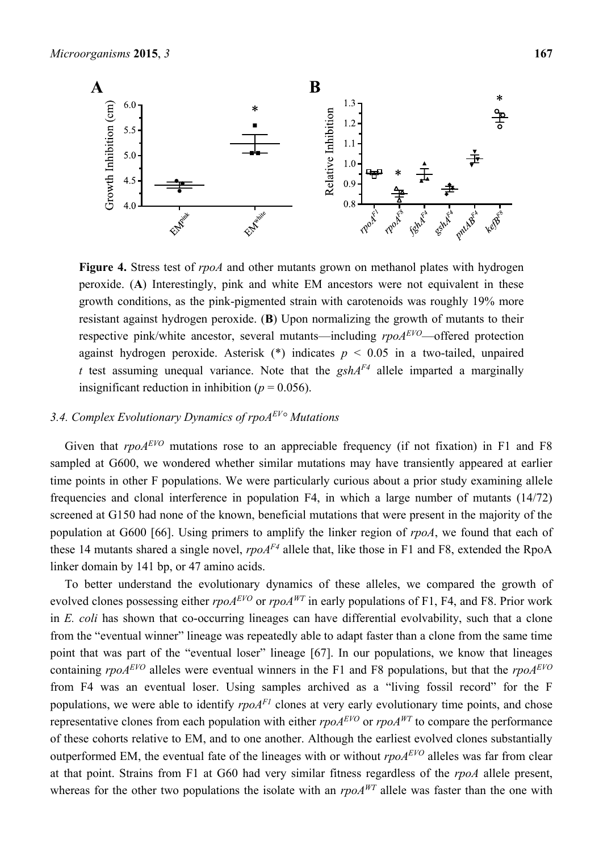

**Figure 4.** Stress test of *rpoA* and other mutants grown on methanol plates with hydrogen peroxide. (**A**) Interestingly, pink and white EM ancestors were not equivalent in these growth conditions, as the pink-pigmented strain with carotenoids was roughly 19% more resistant against hydrogen peroxide. (**B**) Upon normalizing the growth of mutants to their respective pink/white ancestor, several mutants—including *rpoAEVO*—offered protection against hydrogen peroxide. Asterisk  $(*)$  indicates  $p < 0.05$  in a two-tailed, unpaired *t* test assuming unequal variance. Note that the  $gshA<sup>F4</sup>$  allele imparted a marginally insignificant reduction in inhibition ( $p = 0.056$ ).

#### *3.4. Complex Evolutionary Dynamics of rpoAEV°Mutations*

Given that *rpoA<sup>EVO</sup>* mutations rose to an appreciable frequency (if not fixation) in F1 and F8 sampled at G600, we wondered whether similar mutations may have transiently appeared at earlier time points in other F populations. We were particularly curious about a prior study examining allele frequencies and clonal interference in population F4, in which a large number of mutants (14/72) screened at G150 had none of the known, beneficial mutations that were present in the majority of the population at G600 [66]. Using primers to amplify the linker region of *rpoA*, we found that each of these 14 mutants shared a single novel, *rpoAF4* allele that, like those in F1 and F8, extended the RpoA linker domain by 141 bp, or 47 amino acids.

To better understand the evolutionary dynamics of these alleles, we compared the growth of evolved clones possessing either *rpoAEVO* or *rpoAWT* in early populations of F1, F4, and F8. Prior work in *E. coli* has shown that co-occurring lineages can have differential evolvability, such that a clone from the "eventual winner" lineage was repeatedly able to adapt faster than a clone from the same time point that was part of the "eventual loser" lineage [67]. In our populations, we know that lineages containing *rpoA EVO* alleles were eventual winners in the F1 and F8 populations, but that the *rpoAEVO* from F4 was an eventual loser. Using samples archived as a "living fossil record" for the F populations, we were able to identify *rpoAF1* clones at very early evolutionary time points, and chose representative clones from each population with either  $\eta \rho A^{EVO}$  or  $\eta \rho A^{WT}$  to compare the performance of these cohorts relative to EM, and to one another. Although the earliest evolved clones substantially outperformed EM, the eventual fate of the lineages with or without *rpoAEVO* alleles was far from clear at that point. Strains from F1 at G60 had very similar fitness regardless of the *rpoA* allele present, whereas for the other two populations the isolate with an *rpoA<sup>WT</sup>* allele was faster than the one with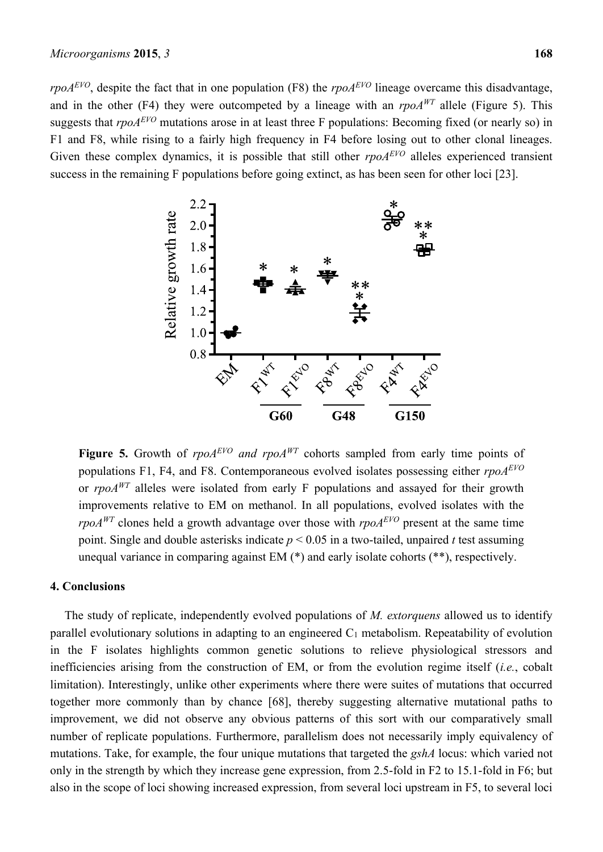*rpoA<sup>EVO</sup>*, despite the fact that in one population (F8) the *rpoA<sup>EVO</sup>* lineage overcame this disadvantage, and in the other (F4) they were outcompeted by a lineage with an  $\textit{rpoA}^{WT}$  allele (Figure 5). This suggests that *rpoAEVO* mutations arose in at least three F populations: Becoming fixed (or nearly so) in F1 and F8, while rising to a fairly high frequency in F4 before losing out to other clonal lineages. Given these complex dynamics, it is possible that still other *rpoAEVO* alleles experienced transient success in the remaining F populations before going extinct, as has been seen for other loci [23].



**Figure 5.** Growth of *rpoA<sup>EVO</sup>* and *rpoA<sup>WT</sup>* cohorts sampled from early time points of populations F1, F4, and F8. Contemporaneous evolved isolates possessing either *rpoAEVO* or *rpoA<sup>WT</sup>* alleles were isolated from early F populations and assayed for their growth improvements relative to EM on methanol. In all populations, evolved isolates with the *rpoA<sup>WT</sup>* clones held a growth advantage over those with *rpoA<sup>EVO</sup>* present at the same time point. Single and double asterisks indicate *p* < 0.05 in a two-tailed, unpaired *t* test assuming unequal variance in comparing against EM (\*) and early isolate cohorts (\*\*), respectively.

#### **4. Conclusions**

The study of replicate, independently evolved populations of *M. extorquens* allowed us to identify parallel evolutionary solutions in adapting to an engineered  $C_1$  metabolism. Repeatability of evolution in the F isolates highlights common genetic solutions to relieve physiological stressors and inefficiencies arising from the construction of EM, or from the evolution regime itself (*i.e.*, cobalt limitation). Interestingly, unlike other experiments where there were suites of mutations that occurred together more commonly than by chance [68], thereby suggesting alternative mutational paths to improvement, we did not observe any obvious patterns of this sort with our comparatively small number of replicate populations. Furthermore, parallelism does not necessarily imply equivalency of mutations. Take, for example, the four unique mutations that targeted the *gshA* locus: which varied not only in the strength by which they increase gene expression, from 2.5-fold in F2 to 15.1-fold in F6; but also in the scope of loci showing increased expression, from several loci upstream in F5, to several loci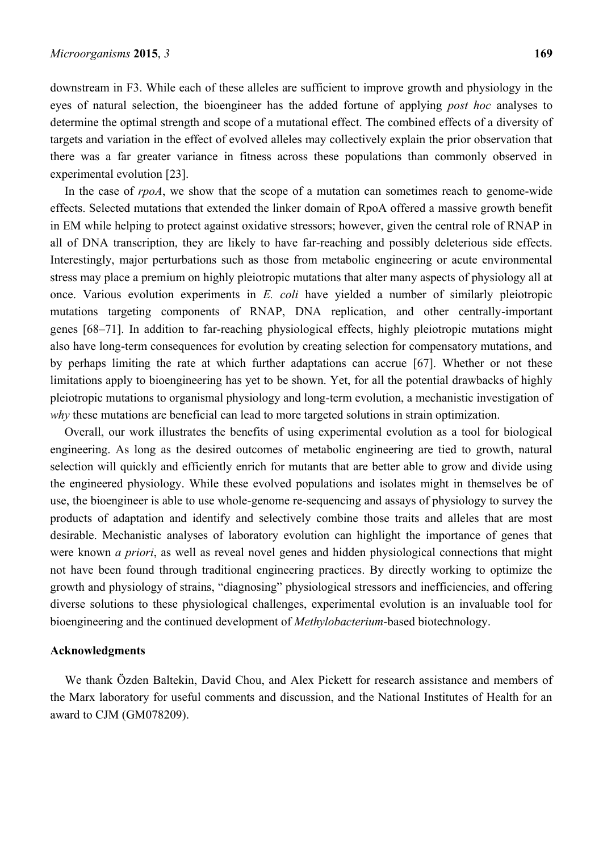downstream in F3. While each of these alleles are sufficient to improve growth and physiology in the eyes of natural selection, the bioengineer has the added fortune of applying *post hoc* analyses to determine the optimal strength and scope of a mutational effect. The combined effects of a diversity of targets and variation in the effect of evolved alleles may collectively explain the prior observation that there was a far greater variance in fitness across these populations than commonly observed in experimental evolution [23].

In the case of *rpoA*, we show that the scope of a mutation can sometimes reach to genome-wide effects. Selected mutations that extended the linker domain of RpoA offered a massive growth benefit in EM while helping to protect against oxidative stressors; however, given the central role of RNAP in all of DNA transcription, they are likely to have far-reaching and possibly deleterious side effects. Interestingly, major perturbations such as those from metabolic engineering or acute environmental stress may place a premium on highly pleiotropic mutations that alter many aspects of physiology all at once. Various evolution experiments in *E. coli* have yielded a number of similarly pleiotropic mutations targeting components of RNAP, DNA replication, and other centrally-important genes [68–71]. In addition to far-reaching physiological effects, highly pleiotropic mutations might also have long-term consequences for evolution by creating selection for compensatory mutations, and by perhaps limiting the rate at which further adaptations can accrue [67]. Whether or not these limitations apply to bioengineering has yet to be shown. Yet, for all the potential drawbacks of highly pleiotropic mutations to organismal physiology and long-term evolution, a mechanistic investigation of *why* these mutations are beneficial can lead to more targeted solutions in strain optimization.

Overall, our work illustrates the benefits of using experimental evolution as a tool for biological engineering. As long as the desired outcomes of metabolic engineering are tied to growth, natural selection will quickly and efficiently enrich for mutants that are better able to grow and divide using the engineered physiology. While these evolved populations and isolates might in themselves be of use, the bioengineer is able to use whole-genome re-sequencing and assays of physiology to survey the products of adaptation and identify and selectively combine those traits and alleles that are most desirable. Mechanistic analyses of laboratory evolution can highlight the importance of genes that were known *a priori*, as well as reveal novel genes and hidden physiological connections that might not have been found through traditional engineering practices. By directly working to optimize the growth and physiology of strains, "diagnosing" physiological stressors and inefficiencies, and offering diverse solutions to these physiological challenges, experimental evolution is an invaluable tool for bioengineering and the continued development of *Methylobacterium*-based biotechnology.

#### **Acknowledgments**

We thank Özden Baltekin, David Chou, and Alex Pickett for research assistance and members of the Marx laboratory for useful comments and discussion, and the National Institutes of Health for an award to CJM (GM078209).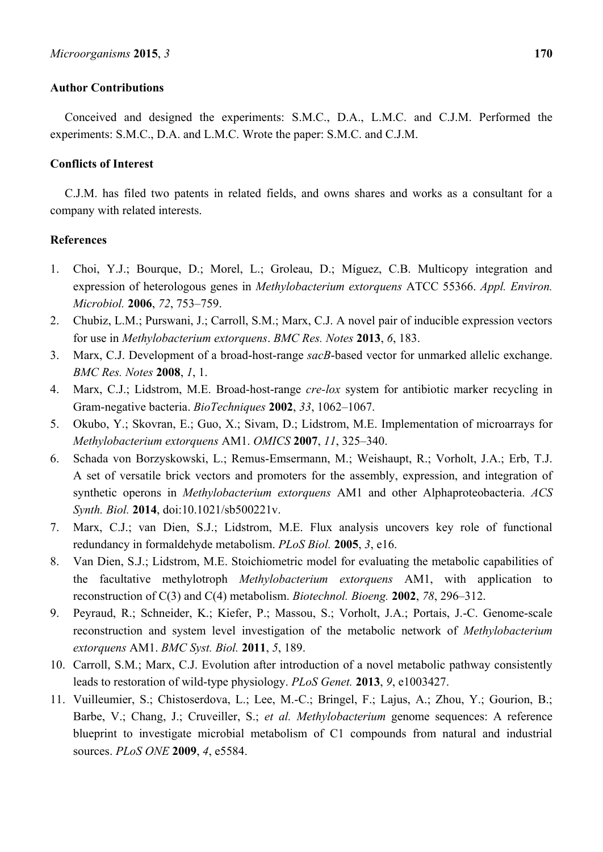#### **Author Contributions**

Conceived and designed the experiments: S.M.C., D.A., L.M.C. and C.J.M. Performed the experiments: S.M.C., D.A. and L.M.C. Wrote the paper: S.M.C. and C.J.M.

#### **Conflicts of Interest**

C.J.M. has filed two patents in related fields, and owns shares and works as a consultant for a company with related interests.

#### **References**

- 1. Choi, Y.J.; Bourque, D.; Morel, L.; Groleau, D.; Míguez, C.B. Multicopy integration and expression of heterologous genes in *Methylobacterium extorquens* ATCC 55366. *Appl. Environ. Microbiol.* **2006**, *72*, 753–759.
- 2. Chubiz, L.M.; Purswani, J.; Carroll, S.M.; Marx, C.J. A novel pair of inducible expression vectors for use in *Methylobacterium extorquens*. *BMC Res. Notes* **2013**, *6*, 183.
- 3. Marx, C.J. Development of a broad-host-range *sacB*-based vector for unmarked allelic exchange. *BMC Res. Notes* **2008**, *1*, 1.
- 4. Marx, C.J.; Lidstrom, M.E. Broad-host-range *cre-lox* system for antibiotic marker recycling in Gram-negative bacteria. *BioTechniques* **2002**, *33*, 1062–1067.
- 5. Okubo, Y.; Skovran, E.; Guo, X.; Sivam, D.; Lidstrom, M.E. Implementation of microarrays for *Methylobacterium extorquens* AM1. *OMICS* **2007**, *11*, 325–340.
- 6. Schada von Borzyskowski, L.; Remus-Emsermann, M.; Weishaupt, R.; Vorholt, J.A.; Erb, T.J. A set of versatile brick vectors and promoters for the assembly, expression, and integration of synthetic operons in *Methylobacterium extorquens* AM1 and other Alphaproteobacteria. *ACS Synth. Biol.* **2014**, doi:10.1021/sb500221v.
- 7. Marx, C.J.; van Dien, S.J.; Lidstrom, M.E. Flux analysis uncovers key role of functional redundancy in formaldehyde metabolism. *PLoS Biol.* **2005**, *3*, e16.
- 8. Van Dien, S.J.; Lidstrom, M.E. Stoichiometric model for evaluating the metabolic capabilities of the facultative methylotroph *Methylobacterium extorquens* AM1, with application to reconstruction of C(3) and C(4) metabolism. *Biotechnol. Bioeng.* **2002**, *78*, 296–312.
- 9. Peyraud, R.; Schneider, K.; Kiefer, P.; Massou, S.; Vorholt, J.A.; Portais, J.-C. Genome-scale reconstruction and system level investigation of the metabolic network of *Methylobacterium extorquens* AM1. *BMC Syst. Biol.* **2011**, *5*, 189.
- 10. Carroll, S.M.; Marx, C.J. Evolution after introduction of a novel metabolic pathway consistently leads to restoration of wild-type physiology. *PLoS Genet.* **2013**, *9*, e1003427.
- 11. Vuilleumier, S.; Chistoserdova, L.; Lee, M.-C.; Bringel, F.; Lajus, A.; Zhou, Y.; Gourion, B.; Barbe, V.; Chang, J.; Cruveiller, S.; *et al. Methylobacterium* genome sequences: A reference blueprint to investigate microbial metabolism of C1 compounds from natural and industrial sources. *PLoS ONE* **2009**, *4*, e5584.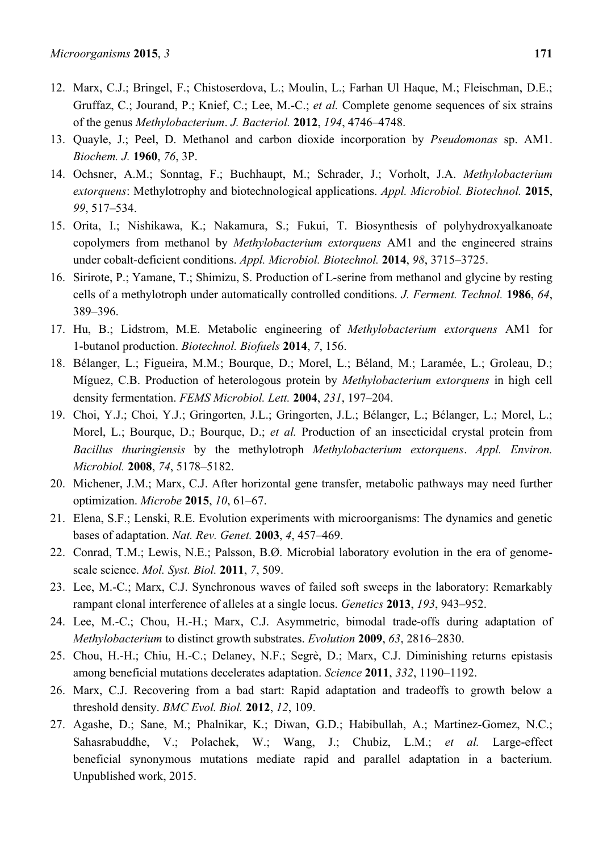- 12. Marx, C.J.; Bringel, F.; Chistoserdova, L.; Moulin, L.; Farhan Ul Haque, M.; Fleischman, D.E.; Gruffaz, C.; Jourand, P.; Knief, C.; Lee, M.-C.; *et al.* Complete genome sequences of six strains of the genus *Methylobacterium*. *J. Bacteriol.* **2012**, *194*, 4746–4748.
- 13. Quayle, J.; Peel, D. Methanol and carbon dioxide incorporation by *Pseudomonas* sp. AM1. *Biochem. J.* **1960**, *76*, 3P.
- 14. Ochsner, A.M.; Sonntag, F.; Buchhaupt, M.; Schrader, J.; Vorholt, J.A. *Methylobacterium extorquens*: Methylotrophy and biotechnological applications. *Appl. Microbiol. Biotechnol.* **2015**, *99*, 517–534.
- 15. Orita, I.; Nishikawa, K.; Nakamura, S.; Fukui, T. Biosynthesis of polyhydroxyalkanoate copolymers from methanol by *Methylobacterium extorquens* AM1 and the engineered strains under cobalt-deficient conditions. *Appl. Microbiol. Biotechnol.* **2014**, *98*, 3715–3725.
- 16. Sirirote, P.; Yamane, T.; Shimizu, S. Production of L-serine from methanol and glycine by resting cells of a methylotroph under automatically controlled conditions. *J. Ferment. Technol.* **1986**, *64*, 389–396.
- 17. Hu, B.; Lidstrom, M.E. Metabolic engineering of *Methylobacterium extorquens* AM1 for 1-butanol production. *Biotechnol. Biofuels* **2014**, *7*, 156.
- 18. Bélanger, L.; Figueira, M.M.; Bourque, D.; Morel, L.; Béland, M.; Laramée, L.; Groleau, D.; Míguez, C.B. Production of heterologous protein by *Methylobacterium extorquens* in high cell density fermentation. *FEMS Microbiol. Lett.* **2004**, *231*, 197–204.
- 19. Choi, Y.J.; Choi, Y.J.; Gringorten, J.L.; Gringorten, J.L.; Bélanger, L.; Bélanger, L.; Morel, L.; Morel, L.; Bourque, D.; Bourque, D.; *et al.* Production of an insecticidal crystal protein from *Bacillus thuringiensis* by the methylotroph *Methylobacterium extorquens*. *Appl. Environ. Microbiol.* **2008**, *74*, 5178–5182.
- 20. Michener, J.M.; Marx, C.J. After horizontal gene transfer, metabolic pathways may need further optimization. *Microbe* **2015**, *10*, 61–67.
- 21. Elena, S.F.; Lenski, R.E. Evolution experiments with microorganisms: The dynamics and genetic bases of adaptation. *Nat. Rev. Genet.* **2003**, *4*, 457–469.
- 22. Conrad, T.M.; Lewis, N.E.; Palsson, B.Ø. Microbial laboratory evolution in the era of genomescale science. *Mol. Syst. Biol.* **2011**, *7*, 509.
- 23. Lee, M.-C.; Marx, C.J. Synchronous waves of failed soft sweeps in the laboratory: Remarkably rampant clonal interference of alleles at a single locus. *Genetics* **2013**, *193*, 943–952.
- 24. Lee, M.-C.; Chou, H.-H.; Marx, C.J. Asymmetric, bimodal trade-offs during adaptation of *Methylobacterium* to distinct growth substrates. *Evolution* **2009**, *63*, 2816–2830.
- 25. Chou, H.-H.; Chiu, H.-C.; Delaney, N.F.; Segrè, D.; Marx, C.J. Diminishing returns epistasis among beneficial mutations decelerates adaptation. *Science* **2011**, *332*, 1190–1192.
- 26. Marx, C.J. Recovering from a bad start: Rapid adaptation and tradeoffs to growth below a threshold density. *BMC Evol. Biol.* **2012**, *12*, 109.
- 27. Agashe, D.; Sane, M.; Phalnikar, K.; Diwan, G.D.; Habibullah, A.; Martinez-Gomez, N.C.; Sahasrabuddhe, V.; Polachek, W.; Wang, J.; Chubiz, L.M.; *et al.* Large-effect beneficial synonymous mutations mediate rapid and parallel adaptation in a bacterium. Unpublished work, 2015.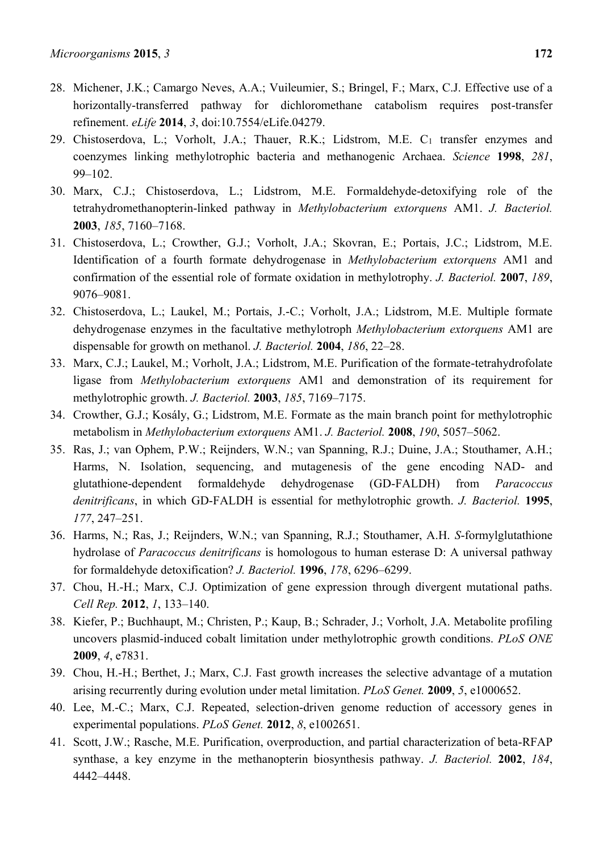- 28. Michener, J.K.; Camargo Neves, A.A.; Vuileumier, S.; Bringel, F.; Marx, C.J. Effective use of a horizontally-transferred pathway for dichloromethane catabolism requires post-transfer refinement. *eLife* **2014**, *3*, doi:10.7554/eLife.04279.
- 29. Chistoserdova, L.; Vorholt, J.A.; Thauer, R.K.; Lidstrom, M.E. C<sub>1</sub> transfer enzymes and coenzymes linking methylotrophic bacteria and methanogenic Archaea. *Science* **1998**, *281*, 99–102.
- 30. Marx, C.J.; Chistoserdova, L.; Lidstrom, M.E. Formaldehyde-detoxifying role of the tetrahydromethanopterin-linked pathway in *Methylobacterium extorquens* AM1. *J. Bacteriol.* **2003**, *185*, 7160–7168.
- 31. Chistoserdova, L.; Crowther, G.J.; Vorholt, J.A.; Skovran, E.; Portais, J.C.; Lidstrom, M.E. Identification of a fourth formate dehydrogenase in *Methylobacterium extorquens* AM1 and confirmation of the essential role of formate oxidation in methylotrophy. *J. Bacteriol.* **2007**, *189*, 9076–9081.
- 32. Chistoserdova, L.; Laukel, M.; Portais, J.-C.; Vorholt, J.A.; Lidstrom, M.E. Multiple formate dehydrogenase enzymes in the facultative methylotroph *Methylobacterium extorquens* AM1 are dispensable for growth on methanol. *J. Bacteriol.* **2004**, *186*, 22–28.
- 33. Marx, C.J.; Laukel, M.; Vorholt, J.A.; Lidstrom, M.E. Purification of the formate-tetrahydrofolate ligase from *Methylobacterium extorquens* AM1 and demonstration of its requirement for methylotrophic growth. *J. Bacteriol.* **2003**, *185*, 7169–7175.
- 34. Crowther, G.J.; Kosály, G.; Lidstrom, M.E. Formate as the main branch point for methylotrophic metabolism in *Methylobacterium extorquens* AM1. *J. Bacteriol.* **2008**, *190*, 5057–5062.
- 35. Ras, J.; van Ophem, P.W.; Reijnders, W.N.; van Spanning, R.J.; Duine, J.A.; Stouthamer, A.H.; Harms, N. Isolation, sequencing, and mutagenesis of the gene encoding NAD- and glutathione-dependent formaldehyde dehydrogenase (GD-FALDH) from *Paracoccus denitrificans*, in which GD-FALDH is essential for methylotrophic growth. *J. Bacteriol.* **1995**, *177*, 247–251.
- 36. Harms, N.; Ras, J.; Reijnders, W.N.; van Spanning, R.J.; Stouthamer, A.H. *S*-formylglutathione hydrolase of *Paracoccus denitrificans* is homologous to human esterase D: A universal pathway for formaldehyde detoxification? *J. Bacteriol.* **1996**, *178*, 6296–6299.
- 37. Chou, H.-H.; Marx, C.J. Optimization of gene expression through divergent mutational paths. *Cell Rep.* **2012**, *1*, 133–140.
- 38. Kiefer, P.; Buchhaupt, M.; Christen, P.; Kaup, B.; Schrader, J.; Vorholt, J.A. Metabolite profiling uncovers plasmid-induced cobalt limitation under methylotrophic growth conditions. *PLoS ONE* **2009**, *4*, e7831.
- 39. Chou, H.-H.; Berthet, J.; Marx, C.J. Fast growth increases the selective advantage of a mutation arising recurrently during evolution under metal limitation. *PLoS Genet.* **2009**, *5*, e1000652.
- 40. Lee, M.-C.; Marx, C.J. Repeated, selection-driven genome reduction of accessory genes in experimental populations. *PLoS Genet.* **2012**, *8*, e1002651.
- 41. Scott, J.W.; Rasche, M.E. Purification, overproduction, and partial characterization of beta-RFAP synthase, a key enzyme in the methanopterin biosynthesis pathway. *J. Bacteriol.* **2002**, *184*, 4442–4448.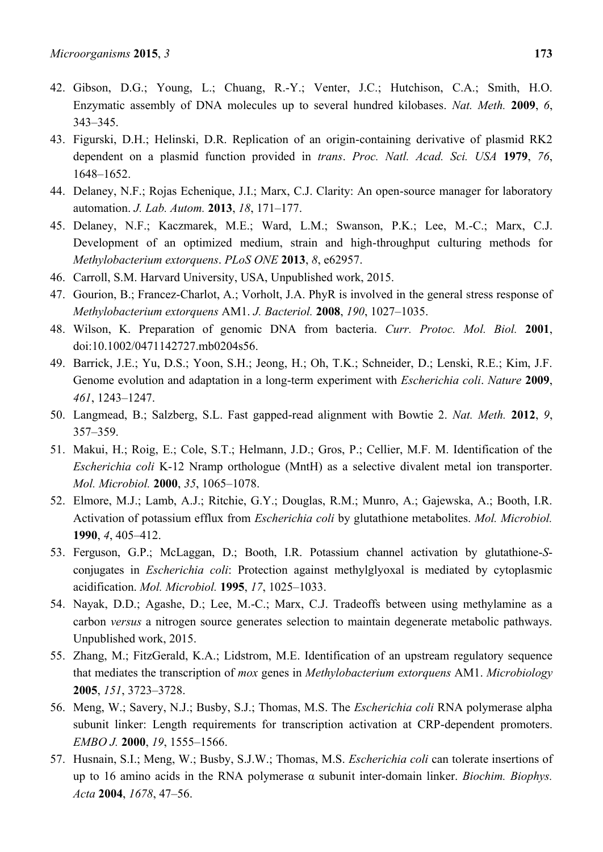- 42. Gibson, D.G.; Young, L.; Chuang, R.-Y.; Venter, J.C.; Hutchison, C.A.; Smith, H.O. Enzymatic assembly of DNA molecules up to several hundred kilobases. *Nat. Meth.* **2009**, *6*, 343–345.
- 43. Figurski, D.H.; Helinski, D.R. Replication of an origin-containing derivative of plasmid RK2 dependent on a plasmid function provided in *trans*. *Proc. Natl. Acad. Sci. USA* **1979**, *76*, 1648–1652.
- 44. Delaney, N.F.; Rojas Echenique, J.I.; Marx, C.J. Clarity: An open-source manager for laboratory automation. *J. Lab. Autom.* **2013**, *18*, 171–177.
- 45. Delaney, N.F.; Kaczmarek, M.E.; Ward, L.M.; Swanson, P.K.; Lee, M.-C.; Marx, C.J. Development of an optimized medium, strain and high-throughput culturing methods for *Methylobacterium extorquens*. *PLoS ONE* **2013**, *8*, e62957.
- 46. Carroll, S.M. Harvard University, USA, Unpublished work, 2015.
- 47. Gourion, B.; Francez-Charlot, A.; Vorholt, J.A. PhyR is involved in the general stress response of *Methylobacterium extorquens* AM1. *J. Bacteriol.* **2008**, *190*, 1027–1035.
- 48. Wilson, K. Preparation of genomic DNA from bacteria. *Curr. Protoc. Mol. Biol.* **2001**, doi:10.1002/0471142727.mb0204s56.
- 49. Barrick, J.E.; Yu, D.S.; Yoon, S.H.; Jeong, H.; Oh, T.K.; Schneider, D.; Lenski, R.E.; Kim, J.F. Genome evolution and adaptation in a long-term experiment with *Escherichia coli*. *Nature* **2009**, *461*, 1243–1247.
- 50. Langmead, B.; Salzberg, S.L. Fast gapped-read alignment with Bowtie 2. *Nat. Meth.* **2012**, *9*, 357–359.
- 51. Makui, H.; Roig, E.; Cole, S.T.; Helmann, J.D.; Gros, P.; Cellier, M.F. M. Identification of the *Escherichia coli* K-12 Nramp orthologue (MntH) as a selective divalent metal ion transporter. *Mol. Microbiol.* **2000**, *35*, 1065–1078.
- 52. Elmore, M.J.; Lamb, A.J.; Ritchie, G.Y.; Douglas, R.M.; Munro, A.; Gajewska, A.; Booth, I.R. Activation of potassium efflux from *Escherichia coli* by glutathione metabolites. *Mol. Microbiol.* **1990**, *4*, 405–412.
- 53. Ferguson, G.P.; McLaggan, D.; Booth, I.R. Potassium channel activation by glutathione-*S*conjugates in *Escherichia coli*: Protection against methylglyoxal is mediated by cytoplasmic acidification. *Mol. Microbiol.* **1995**, *17*, 1025–1033.
- 54. Nayak, D.D.; Agashe, D.; Lee, M.-C.; Marx, C.J. Tradeoffs between using methylamine as a carbon *versus* a nitrogen source generates selection to maintain degenerate metabolic pathways. Unpublished work, 2015.
- 55. Zhang, M.; FitzGerald, K.A.; Lidstrom, M.E. Identification of an upstream regulatory sequence that mediates the transcription of *mox* genes in *Methylobacterium extorquens* AM1. *Microbiology*  **2005**, *151*, 3723–3728.
- 56. Meng, W.; Savery, N.J.; Busby, S.J.; Thomas, M.S. The *Escherichia coli* RNA polymerase alpha subunit linker: Length requirements for transcription activation at CRP-dependent promoters. *EMBO J.* **2000**, *19*, 1555–1566.
- 57. Husnain, S.I.; Meng, W.; Busby, S.J.W.; Thomas, M.S. *Escherichia coli* can tolerate insertions of up to 16 amino acids in the RNA polymerase α subunit inter-domain linker. *Biochim. Biophys. Acta* **2004**, *1678*, 47–56.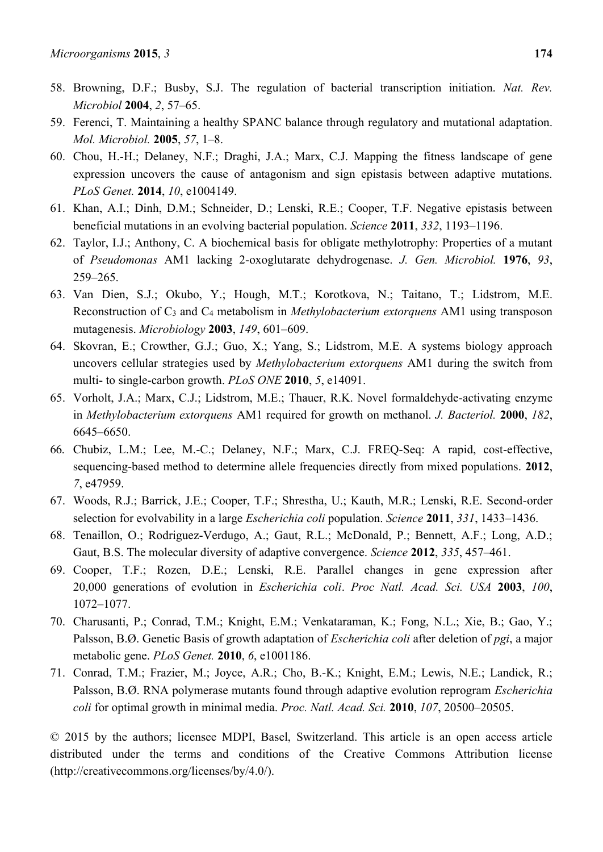- 58. Browning, D.F.; Busby, S.J. The regulation of bacterial transcription initiation. *Nat. Rev. Microbiol* **2004**, *2*, 57–65.
- 59. Ferenci, T. Maintaining a healthy SPANC balance through regulatory and mutational adaptation. *Mol. Microbiol.* **2005**, *57*, 1–8.
- 60. Chou, H.-H.; Delaney, N.F.; Draghi, J.A.; Marx, C.J. Mapping the fitness landscape of gene expression uncovers the cause of antagonism and sign epistasis between adaptive mutations. *PLoS Genet.* **2014**, *10*, e1004149.
- 61. Khan, A.I.; Dinh, D.M.; Schneider, D.; Lenski, R.E.; Cooper, T.F. Negative epistasis between beneficial mutations in an evolving bacterial population. *Science* **2011**, *332*, 1193–1196.
- 62. Taylor, I.J.; Anthony, C. A biochemical basis for obligate methylotrophy: Properties of a mutant of *Pseudomonas* AM1 lacking 2-oxoglutarate dehydrogenase. *J. Gen. Microbiol.* **1976**, *93*, 259–265.
- 63. Van Dien, S.J.; Okubo, Y.; Hough, M.T.; Korotkova, N.; Taitano, T.; Lidstrom, M.E. Reconstruction of C<sup>3</sup> and C<sup>4</sup> metabolism in *Methylobacterium extorquens* AM1 using transposon mutagenesis. *Microbiology* **2003**, *149*, 601–609.
- 64. Skovran, E.; Crowther, G.J.; Guo, X.; Yang, S.; Lidstrom, M.E. A systems biology approach uncovers cellular strategies used by *Methylobacterium extorquens* AM1 during the switch from multi- to single-carbon growth. *PLoS ONE* **2010**, *5*, e14091.
- 65. Vorholt, J.A.; Marx, C.J.; Lidstrom, M.E.; Thauer, R.K. Novel formaldehyde-activating enzyme in *Methylobacterium extorquens* AM1 required for growth on methanol. *J. Bacteriol.* **2000**, *182*, 6645–6650.
- 66. Chubiz, L.M.; Lee, M.-C.; Delaney, N.F.; Marx, C.J. FREQ-Seq: A rapid, cost-effective, sequencing-based method to determine allele frequencies directly from mixed populations. **2012**, *7*, e47959.
- 67. Woods, R.J.; Barrick, J.E.; Cooper, T.F.; Shrestha, U.; Kauth, M.R.; Lenski, R.E. Second-order selection for evolvability in a large *Escherichia coli* population. *Science* **2011**, *331*, 1433–1436.
- 68. Tenaillon, O.; Rodriguez-Verdugo, A.; Gaut, R.L.; McDonald, P.; Bennett, A.F.; Long, A.D.; Gaut, B.S. The molecular diversity of adaptive convergence. *Science* **2012**, *335*, 457–461.
- 69. Cooper, T.F.; Rozen, D.E.; Lenski, R.E. Parallel changes in gene expression after 20,000 generations of evolution in *Escherichia coli*. *Proc Natl. Acad. Sci. USA* **2003**, *100*, 1072–1077.
- 70. Charusanti, P.; Conrad, T.M.; Knight, E.M.; Venkataraman, K.; Fong, N.L.; Xie, B.; Gao, Y.; Palsson, B.Ø. Genetic Basis of growth adaptation of *Escherichia coli* after deletion of *pgi*, a major metabolic gene. *PLoS Genet.* **2010**, *6*, e1001186.
- 71. Conrad, T.M.; Frazier, M.; Joyce, A.R.; Cho, B.-K.; Knight, E.M.; Lewis, N.E.; Landick, R.; Palsson, B.Ø. RNA polymerase mutants found through adaptive evolution reprogram *Escherichia coli* for optimal growth in minimal media. *Proc. Natl. Acad. Sci.* **2010**, *107*, 20500–20505.

© 2015 by the authors; licensee MDPI, Basel, Switzerland. This article is an open access article distributed under the terms and conditions of the Creative Commons Attribution license (http://creativecommons.org/licenses/by/4.0/).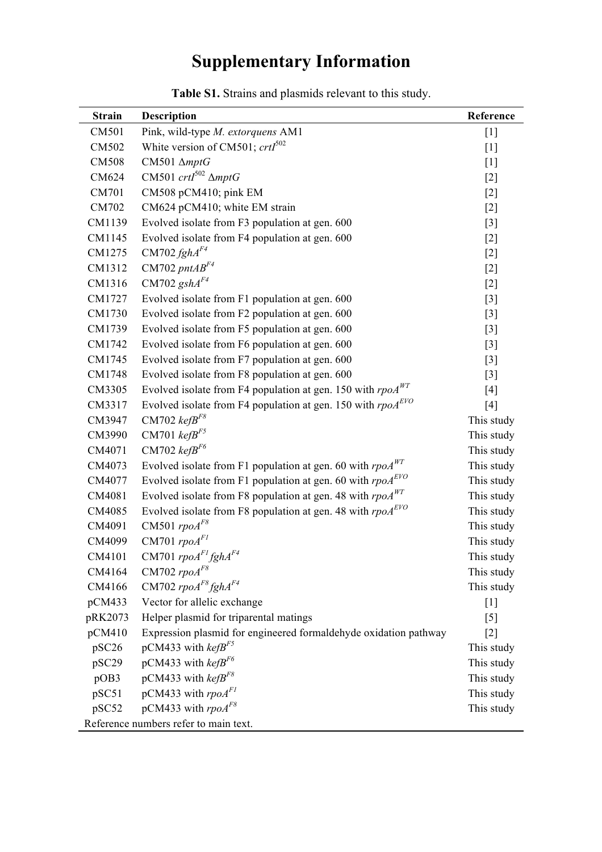# **Supplementary Information**

| <b>Strain</b> | <b>Description</b>                                                      | Reference  |
|---------------|-------------------------------------------------------------------------|------------|
| CM501         | Pink, wild-type M. extorquens AM1                                       | $[1]$      |
| CM502         | White version of CM501; $crt1^{502}$                                    | $[1]$      |
| <b>CM508</b>  | CM501 $\Delta mptG$                                                     | $[1]$      |
| CM624         | CM501 $crtI^{502}$ $\Delta mptG$                                        | $[2]$      |
| CM701         | CM508 pCM410; pink EM                                                   | $[2]$      |
| CM702         | CM624 pCM410; white EM strain                                           | $[2]$      |
| CM1139        | Evolved isolate from F3 population at gen. 600                          | $[3]$      |
| CM1145        | Evolved isolate from F4 population at gen. 600                          | $[2]$      |
| CM1275        | CM702 $fghAF4$                                                          | $[2]$      |
| CM1312        | CM702 $pntABF4$                                                         | $[2]$      |
| CM1316        | CM702 $gshAF4$                                                          | $[2]$      |
| CM1727        | Evolved isolate from F1 population at gen. 600                          | $[3]$      |
| CM1730        | Evolved isolate from F2 population at gen. 600                          | $[3]$      |
| CM1739        | Evolved isolate from F5 population at gen. 600                          | $[3]$      |
| CM1742        | Evolved isolate from F6 population at gen. 600                          | $[3]$      |
| CM1745        | Evolved isolate from F7 population at gen. 600                          | $[3]$      |
| CM1748        | Evolved isolate from F8 population at gen. 600                          | $[3]$      |
| CM3305        | Evolved isolate from F4 population at gen. 150 with $\eta \rho A^{WT}$  | [4]        |
| CM3317        | Evolved isolate from F4 population at gen. 150 with $\eta \rho A^{EVO}$ | $[4]$      |
| CM3947        | CM702 $kefBF8$                                                          | This study |
| CM3990        | CM701 $kefBF5$                                                          | This study |
| CM4071        | CM702 $kefBF6$                                                          | This study |
| CM4073        | Evolved isolate from F1 population at gen. 60 with $\eta \rho A^{WT}$   | This study |
| CM4077        | Evolved isolate from F1 population at gen. 60 with $\eta \rho A^{EVO}$  | This study |
| CM4081        | Evolved isolate from F8 population at gen. 48 with $\eta \rho A^{WT}$   | This study |
| CM4085        | Evolved isolate from F8 population at gen. 48 with $\eta \rho A^{EVO}$  | This study |
| CM4091        | CM501 $rpoAF8$                                                          | This study |
| CM4099        | CM701 $rpoAF1$                                                          | This study |
| CM4101        | CM701 $\text{rpoA}^{\text{FI}}$ fgh $A^{\text{F4}}$                     | This study |
| CM4164        | CM702 $rpoAF8$                                                          | This study |
| CM4166        | CM702 $\text{rpoA}^{\text{F8}}$ fgh $\text{A}^{\text{F4}}$              | This study |
| pCM433        | Vector for allelic exchange                                             | $[1]$      |
| pRK2073       | Helper plasmid for triparental matings                                  | $[5]$      |
| pCM410        | Expression plasmid for engineered formaldehyde oxidation pathway        | $[2]$      |
| pSC26         | pCM433 with $kefBF5$                                                    | This study |
| pSC29         | pCM433 with $kefBF6$                                                    | This study |
| pOB3          | pCM433 with $kefBF8$                                                    | This study |
| pSC51         | pCM433 with $rpoAF1$                                                    | This study |
| pSC52         | pCM433 with $rpoAF8$                                                    | This study |
|               | Reference numbers refer to main text.                                   |            |

**Table S1.** Strains and plasmids relevant to this study.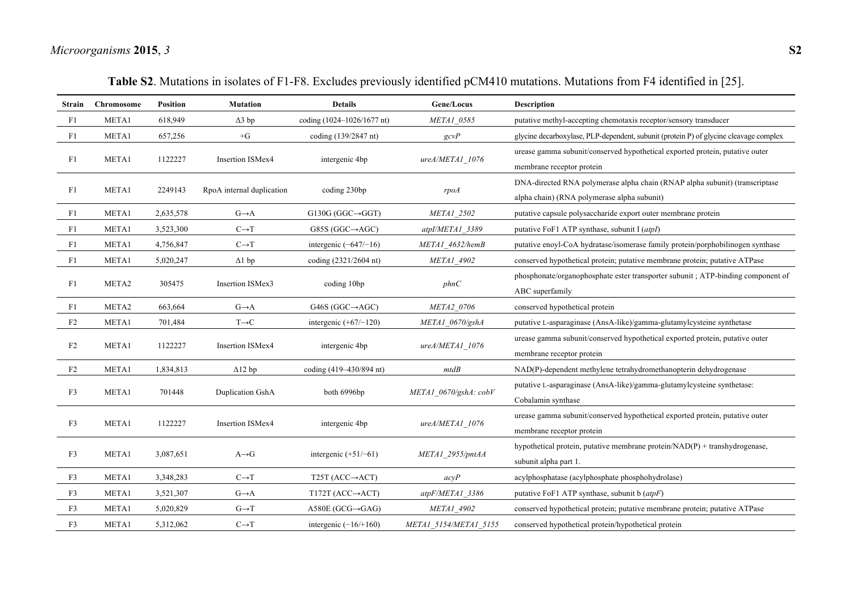| Strain | Chromosome | Position  | <b>Mutation</b>           | <b>Details</b>                | Gene/Locus            | <b>Description</b>                                                                    |
|--------|------------|-----------|---------------------------|-------------------------------|-----------------------|---------------------------------------------------------------------------------------|
| F1     | META1      | 618,949   | $\Delta$ 3 bp             | coding (1024–1026/1677 nt)    | <b>META1 0585</b>     | putative methyl-accepting chemotaxis receptor/sensory transducer                      |
| F1     | META1      | 657,256   | $+{\rm G}$                | coding (139/2847 nt)          | gcvP                  | glycine decarboxylase, PLP-dependent, subunit (protein P) of glycine cleavage complex |
|        |            |           |                           |                               |                       | urease gamma subunit/conserved hypothetical exported protein, putative outer          |
| F1     | META1      | 1122227   | <b>Insertion ISMex4</b>   | intergenic 4bp                | ureA/META1 1076       | membrane receptor protein                                                             |
|        |            |           |                           |                               |                       | DNA-directed RNA polymerase alpha chain (RNAP alpha subunit) (transcriptase           |
| F1     | META1      | 2249143   | RpoA internal duplication | coding 230bp                  | rpoA                  | alpha chain) (RNA polymerase alpha subunit)                                           |
| F1     | META1      | 2,635,578 | $G \rightarrow A$         | G130G (GGC $\rightarrow$ GGT) | <b>META1 2502</b>     | putative capsule polysaccharide export outer membrane protein                         |
| F1     | META1      | 3,523,300 | $C\rightarrow T$          | G85S (GGC $\rightarrow$ AGC)  | atpl/META1 3389       | putative FoF1 ATP synthase, subunit I (atpI)                                          |
| F1     | META1      | 4,756,847 | $C\rightarrow T$          | intergenic $(-647/-16)$       | META1 4632/hemB       | putative enoyl-CoA hydratase/isomerase family protein/porphobilinogen synthase        |
| F1     | META1      | 5,020,247 | $\Delta 1$ bp             | coding (2321/2604 nt)         | <b>META1 4902</b>     | conserved hypothetical protein; putative membrane protein; putative ATPase            |
|        |            |           |                           |                               |                       | phosphonate/organophosphate ester transporter subunit; ATP-binding component of       |
| F1     | META2      | 305475    | Insertion ISMex3          | coding 10bp                   | phnC                  | ABC superfamily                                                                       |
| F1     | META2      | 663,664   | $G \rightarrow A$         | G46S (GGC $\rightarrow$ AGC)  | META2 0706            | conserved hypothetical protein                                                        |
| F2     | META1      | 701,484   | $T\rightarrow C$          | intergenic $(+67/-120)$       | META1 0670/gshA       | putative L-asparaginase (AnsA-like)/gamma-glutamylcysteine synthetase                 |
|        |            |           |                           |                               |                       | urease gamma subunit/conserved hypothetical exported protein, putative outer          |
| F2     | META1      | 1122227   | <b>Insertion ISMex4</b>   | intergenic 4bp                | ureA/META1_1076       | membrane receptor protein                                                             |
| F2     | META1      | 1,834,813 | $\Delta$ 12 bp            | coding (419–430/894 nt)       | mtdB                  | NAD(P)-dependent methylene tetrahydromethanopterin dehydrogenase                      |
|        |            |           |                           |                               |                       | putative L-asparaginase (AnsA-like)/gamma-glutamylcysteine synthetase:                |
| F3     | META1      | 701448    | <b>Duplication GshA</b>   | both 6996bp                   | META1_0670/gshA: cobV | Cobalamin synthase                                                                    |
|        |            |           |                           |                               |                       | urease gamma subunit/conserved hypothetical exported protein, putative outer          |
| F3     | META1      | 1122227   | <b>Insertion ISMex4</b>   | intergenic 4bp                | ureA/META1 1076       | membrane receptor protein                                                             |
|        |            |           |                           |                               |                       | hypothetical protein, putative membrane protein/NAD(P) + transhydrogenase,            |
| F3     | META1      | 3,087,651 | $A \rightarrow G$         | intergenic $(+51/-61)$        | META1 2955/pntAA      | subunit alpha part 1.                                                                 |
| F3     | META1      | 3,348,283 | $C\rightarrow T$          | $T25T (ACC \rightarrow ACT)$  | acyP                  | acylphosphatase (acylphosphate phosphohydrolase)                                      |
| F3     | META1      | 3,521,307 | $G \rightarrow A$         | $T172T (ACC \rightarrow ACT)$ | $atp$ F/META1 3386    | putative FoF1 ATP synthase, subunit b $(atpF)$                                        |
| F3     | META1      | 5,020,829 | $G \rightarrow T$         | A580E (GCG $\rightarrow$ GAG) | <b>META1 4902</b>     | conserved hypothetical protein; putative membrane protein; putative ATPase            |
| F3     | META1      | 5,312,062 | $C\rightarrow T$          | intergenic $(-16/160)$        | META1 5154/META1 5155 | conserved hypothetical protein/hypothetical protein                                   |

**Table S2**. Mutations in isolates of F1-F8. Excludes previously identified pCM410 mutations. Mutations from F4 identified in [25].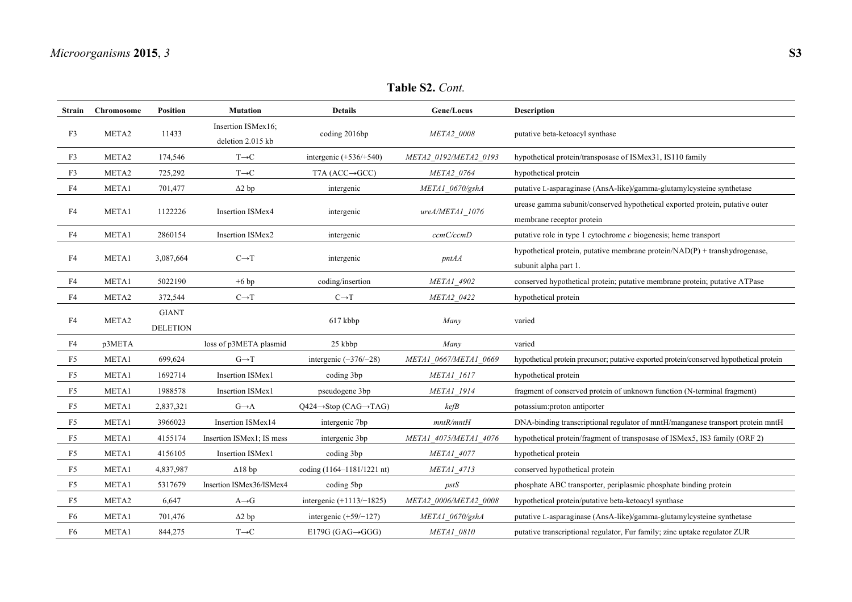| Table S2. Cont. |  |  |
|-----------------|--|--|
|-----------------|--|--|

| Strain         | Chromosome        | <b>Position</b>                 | <b>Mutation</b>                         | <b>Details</b>                                  | Gene/Locus            | <b>Description</b>                                                                                        |
|----------------|-------------------|---------------------------------|-----------------------------------------|-------------------------------------------------|-----------------------|-----------------------------------------------------------------------------------------------------------|
| F3             | META <sub>2</sub> | 11433                           | Insertion ISMex16;<br>deletion 2.015 kb | coding 2016bp                                   | META2 0008            | putative beta-ketoacyl synthase                                                                           |
| F3             | META <sub>2</sub> | 174,546                         | $T\rightarrow C$                        | intergenic $(+536/+540)$                        | META2 0192/META2 0193 | hypothetical protein/transposase of ISMex31, IS110 family                                                 |
| F3             | META2             | 725,292                         | $T\rightarrow C$                        | T7A ( $ACC \rightarrow GCC$ )                   | META2 0764            | hypothetical protein                                                                                      |
| F4             | META1             | 701,477                         | $\Delta 2$ bp                           | intergenic                                      | META1 0670/gshA       | putative L-asparaginase (AnsA-like)/gamma-glutamylcysteine synthetase                                     |
| F4             | META1             | 1122226                         | <b>Insertion ISMex4</b>                 | intergenic                                      | ureA/META1 1076       | urease gamma subunit/conserved hypothetical exported protein, putative outer<br>membrane receptor protein |
| F4             | META1             | 2860154                         | Insertion ISMex2                        | intergenic                                      | ccmC/ccmD             | putative role in type 1 cytochrome $c$ biogenesis; heme transport                                         |
| F4             | META1             | 3,087,664                       | $C\rightarrow T$                        | intergenic                                      | pntAA                 | hypothetical protein, putative membrane protein/NAD(P) + transhydrogenase,<br>subunit alpha part 1.       |
| F4             | META1             | 5022190                         | $+6$ bp                                 | coding/insertion                                | <b>META1 4902</b>     | conserved hypothetical protein; putative membrane protein; putative ATPase                                |
| F4             | META <sub>2</sub> | 372,544                         | $C\rightarrow T$                        | $C \rightarrow T$                               | <b>META2 0422</b>     | hypothetical protein                                                                                      |
| F4             | META <sub>2</sub> | <b>GIANT</b><br><b>DELETION</b> |                                         | 617 kbbp                                        | Many                  | varied                                                                                                    |
| F4             | p3META            |                                 | loss of p3META plasmid                  | 25 kbbp                                         | Many                  | varied                                                                                                    |
| F5             | META1             | 699,624                         | $G \rightarrow T$                       | intergenic $(-376/-28)$                         | META1 0667/META1 0669 | hypothetical protein precursor; putative exported protein/conserved hypothetical protein                  |
| F <sub>5</sub> | META1             | 1692714                         | <b>Insertion ISMex1</b>                 | coding 3bp                                      | <b>META1</b> 1617     | hypothetical protein                                                                                      |
| F5             | META1             | 1988578                         | <b>Insertion ISMex1</b>                 | pseudogene 3bp                                  | <b>META1</b> 1914     | fragment of conserved protein of unknown function (N-terminal fragment)                                   |
| F5             | META1             | 2,837,321                       | $G \rightarrow A$                       | $Q424 \rightarrow$ Stop (CAG $\rightarrow$ TAG) | kefB                  | potassium: proton antiporter                                                                              |
| F <sub>5</sub> | META1             | 3966023                         | <b>Insertion ISMex14</b>                | intergenic 7bp                                  | mntR/mntH             | DNA-binding transcriptional regulator of mntH/manganese transport protein mntH                            |
| F5             | META1             | 4155174                         | Insertion ISMex1; IS mess               | intergenic 3bp                                  | META1 4075/META1 4076 | hypothetical protein/fragment of transposase of ISMex5, IS3 family (ORF 2)                                |
| F5             | META1             | 4156105                         | Insertion ISMex1                        | coding 3bp                                      | META1 4077            | hypothetical protein                                                                                      |
| F <sub>5</sub> | META1             | 4,837,987                       | $\Delta$ 18 bp                          | coding (1164–1181/1221 nt)                      | <i>META1</i> 4713     | conserved hypothetical protein                                                                            |
| F5             | META1             | 5317679                         | Insertion ISMex36/ISMex4                | coding 5bp                                      | pstS                  | phosphate ABC transporter, periplasmic phosphate binding protein                                          |
| F5             | META2             | 6,647                           | $A \rightarrow G$                       | intergenic (+1113/-1825)                        | META2 0006/META2 0008 | hypothetical protein/putative beta-ketoacyl synthase                                                      |
| F6             | META1             | 701,476                         | $\Delta 2$ bp                           | intergenic $(+59/-127)$                         | META1 0670/gshA       | putative L-asparaginase (AnsA-like)/gamma-glutamylcysteine synthetase                                     |
| F6             | META1             | 844,275                         | $T\rightarrow C$                        | E179G (GAG $\rightarrow$ GGG)                   | <b>META1 0810</b>     | putative transcriptional regulator, Fur family; zinc uptake regulator ZUR                                 |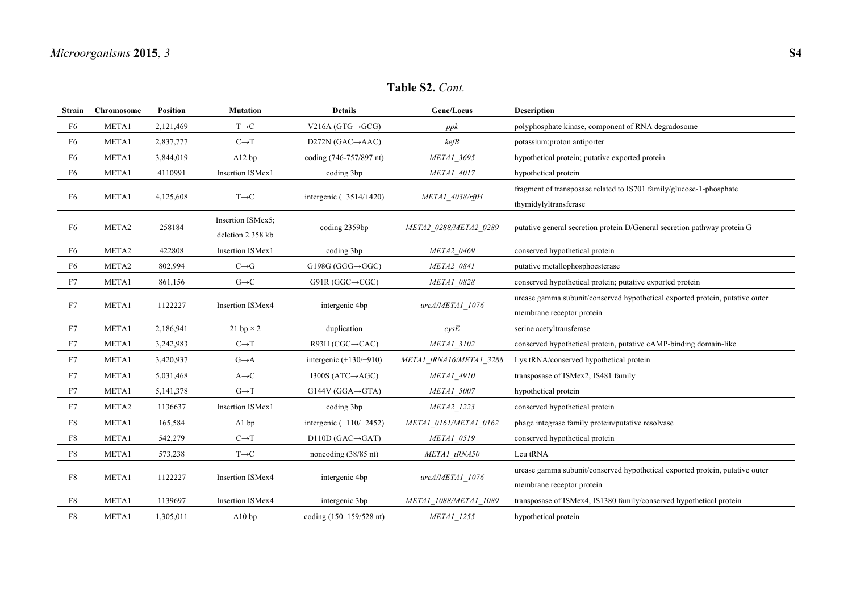## *Microorganisms* **2015**, *3* **S4**

## **Table S2.** *Cont.*

| Strain         | Chromosome | <b>Position</b> | <b>Mutation</b>                        | <b>Details</b>                  | Gene/Locus              | <b>Description</b>                                                                                        |
|----------------|------------|-----------------|----------------------------------------|---------------------------------|-------------------------|-----------------------------------------------------------------------------------------------------------|
| F <sub>6</sub> | META1      | 2,121,469       | $T\rightarrow C$                       | V216A (GTG $\rightarrow$ GCG)   | ppk                     | polyphosphate kinase, component of RNA degradosome                                                        |
| F6             | META1      | 2,837,777       | $C \rightarrow T$                      | $D272N$ (GAC $\rightarrow$ AAC) | kefB                    | potassium: proton antiporter                                                                              |
| F <sub>6</sub> | META1      | 3,844,019       | $\Delta$ 12 bp                         | coding (746-757/897 nt)         | <b>META1 3695</b>       | hypothetical protein; putative exported protein                                                           |
| F6             | META1      | 4110991         | <b>Insertion ISMex1</b>                | coding 3bp                      | <b>META1 4017</b>       | hypothetical protein                                                                                      |
| F <sub>6</sub> | META1      | 4,125,608       | $T\rightarrow C$                       | intergenic $(-3514/+420)$       | META1 4038/rffH         | fragment of transposase related to IS701 family/glucose-1-phosphate<br>thymidylyltransferase              |
| F6             | META2      | 258184          | Insertion ISMex5;<br>deletion 2.358 kb | coding 2359bp                   | META2 0288/META2 0289   | putative general secretion protein D/General secretion pathway protein G                                  |
| F6             | META2      | 422808          | <b>Insertion ISMex1</b>                | coding 3bp                      | <b>META2 0469</b>       | conserved hypothetical protein                                                                            |
| F <sub>6</sub> | META2      | 802,994         | $C \rightarrow G$                      | G198G (GGG $\rightarrow$ GGC)   | <b>META2 0841</b>       | putative metallophosphoesterase                                                                           |
| F7             | META1      | 861,156         | $G \rightarrow C$                      | $G91R$ (GGC $\rightarrow$ CGC)  | <b>META1 0828</b>       | conserved hypothetical protein; putative exported protein                                                 |
| F7             | META1      | 1122227         | <b>Insertion ISMex4</b>                | intergenic 4bp                  | ureA/META1 1076         | urease gamma subunit/conserved hypothetical exported protein, putative outer<br>membrane receptor protein |
| F7             | META1      | 2,186,941       | 21 bp $\times$ 2                       | duplication                     | $c$ ys $E$              | serine acetyltransferase                                                                                  |
| F7             | META1      | 3,242,983       | $C \rightarrow T$                      | R93H (CGC→CAC)                  | <b>META1 3102</b>       | conserved hypothetical protein, putative cAMP-binding domain-like                                         |
| F7             | META1      | 3,420,937       | $G \rightarrow A$                      | intergenic $(+130/-910)$        | META1 tRNA16/META1 3288 | Lys tRNA/conserved hypothetical protein                                                                   |
| F7             | META1      | 5,031,468       | $A \rightarrow C$                      | I300S (ATC $\rightarrow$ AGC)   | <b>META1 4910</b>       | transposase of ISMex2, IS481 family                                                                       |
| F7             | META1      | 5, 141, 378     | $G \rightarrow T$                      | $G144V$ (GGA $\rightarrow$ GTA) | <b>META1 5007</b>       | hypothetical protein                                                                                      |
| F7             | META2      | 1136637         | <b>Insertion ISMex1</b>                | coding 3bp                      | <b>META2</b> 1223       | conserved hypothetical protein                                                                            |
| F8             | META1      | 165,584         | $\Delta 1$ bp                          | intergenic $(-110/-2452)$       | META1 0161/META1 0162   | phage integrase family protein/putative resolvase                                                         |
| $_{\rm F8}$    | META1      | 542,279         | $C\rightarrow T$                       | $D110D$ (GAC $\rightarrow$ GAT) | <b>META1 0519</b>       | conserved hypothetical protein                                                                            |
| F8             | META1      | 573,238         | $T\rightarrow C$                       | noncoding (38/85 nt)            | META1 tRNA50            | Leu tRNA                                                                                                  |
| F8             | META1      | 1122227         | <b>Insertion ISMex4</b>                | intergenic 4bp                  | ureA/META1 1076         | urease gamma subunit/conserved hypothetical exported protein, putative outer<br>membrane receptor protein |
| F8             | META1      | 1139697         | <b>Insertion ISMex4</b>                | intergenic 3bp                  | META1 1088/META1 1089   | transposase of ISMex4, IS1380 family/conserved hypothetical protein                                       |
| F8             | META1      | 1,305,011       | $\Delta10$ bp                          | coding (150–159/528 nt)         | <b>META1</b> 1255       | hypothetical protein                                                                                      |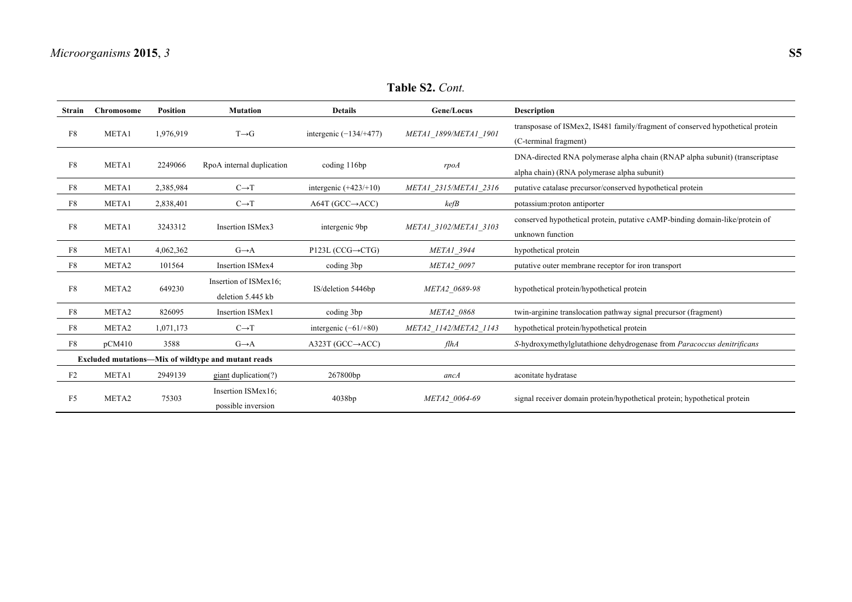## *Microorganisms* **2015**, *3* **S5**

## **Table S2.** *Cont.*

| <b>Strain</b>  | <b>Chromosome</b>                                   | <b>Position</b> | <b>Mutation</b>           | <b>Details</b>                  | Gene/Locus            | <b>Description</b>                                                             |  |  |  |
|----------------|-----------------------------------------------------|-----------------|---------------------------|---------------------------------|-----------------------|--------------------------------------------------------------------------------|--|--|--|
|                |                                                     |                 |                           |                                 |                       | transposase of ISMex2, IS481 family/fragment of conserved hypothetical protein |  |  |  |
| F8             | META1                                               | 1,976,919       | $T \rightarrow G$         | intergenic $(-134/477)$         | META1 1899/META1 1901 | (C-terminal fragment)                                                          |  |  |  |
|                |                                                     |                 |                           |                                 |                       | DNA-directed RNA polymerase alpha chain (RNAP alpha subunit) (transcriptase    |  |  |  |
| F8             | META1                                               | 2249066         | RpoA internal duplication | coding 116bp                    | rpoA                  | alpha chain) (RNA polymerase alpha subunit)                                    |  |  |  |
| F8             | META1                                               | 2,385,984       | $C \rightarrow T$         | intergenic $(+423/+10)$         | META1 2315/META1 2316 | putative catalase precursor/conserved hypothetical protein                     |  |  |  |
| F8             | META1                                               | 2,838,401       | $C \rightarrow T$         | $A64T$ (GCC $\rightarrow$ ACC)  | kefB                  | potassium: proton antiporter                                                   |  |  |  |
|                |                                                     |                 |                           |                                 |                       | conserved hypothetical protein, putative cAMP-binding domain-like/protein of   |  |  |  |
| F8             | META1                                               | 3243312         | <b>Insertion ISMex3</b>   | intergenic 9bp                  | META1 3102/META1 3103 | unknown function                                                               |  |  |  |
| F8             | META1                                               | 4,062,362       | $G \rightarrow A$         | P123L (CCG $\rightarrow$ CTG)   | <b>META1 3944</b>     | hypothetical protein                                                           |  |  |  |
| F8             | META <sub>2</sub>                                   | 101564          | <b>Insertion ISMex4</b>   | coding 3bp                      | <b>META2 0097</b>     | putative outer membrane receptor for iron transport                            |  |  |  |
| F8             | META <sub>2</sub>                                   | 649230          | Insertion of ISMex16;     | IS/deletion 5446bp              | META2 0689-98         | hypothetical protein/hypothetical protein                                      |  |  |  |
|                |                                                     |                 | deletion 5.445 kb         |                                 |                       |                                                                                |  |  |  |
| F8             | META <sub>2</sub>                                   | 826095          | <b>Insertion ISMex1</b>   | coding 3bp                      | <b>META2 0868</b>     | twin-arginine translocation pathway signal precursor (fragment)                |  |  |  |
| F8             | META <sub>2</sub>                                   | 1,071,173       | $C \rightarrow T$         | intergenic $(-61/+80)$          | META2 1142/META2 1143 | hypothetical protein/hypothetical protein                                      |  |  |  |
| F8             | pCM410                                              | 3588            | $G \rightarrow A$         | $A323T$ (GCC $\rightarrow$ ACC) | flhA                  | S-hydroxymethylglutathione dehydrogenase from Paracoccus denitrificans         |  |  |  |
|                | Excluded mutations-Mix of wildtype and mutant reads |                 |                           |                                 |                       |                                                                                |  |  |  |
| F <sub>2</sub> | META1                                               | 2949139         | giant duplication(?)      | 267800bp                        | ancA                  | aconitate hydratase                                                            |  |  |  |
|                |                                                     |                 | Insertion ISMex16;        |                                 |                       |                                                                                |  |  |  |
| F <sub>5</sub> | META <sub>2</sub>                                   | 75303           | possible inversion        | 4038bp                          | META2 0064-69         | signal receiver domain protein/hypothetical protein; hypothetical protein      |  |  |  |